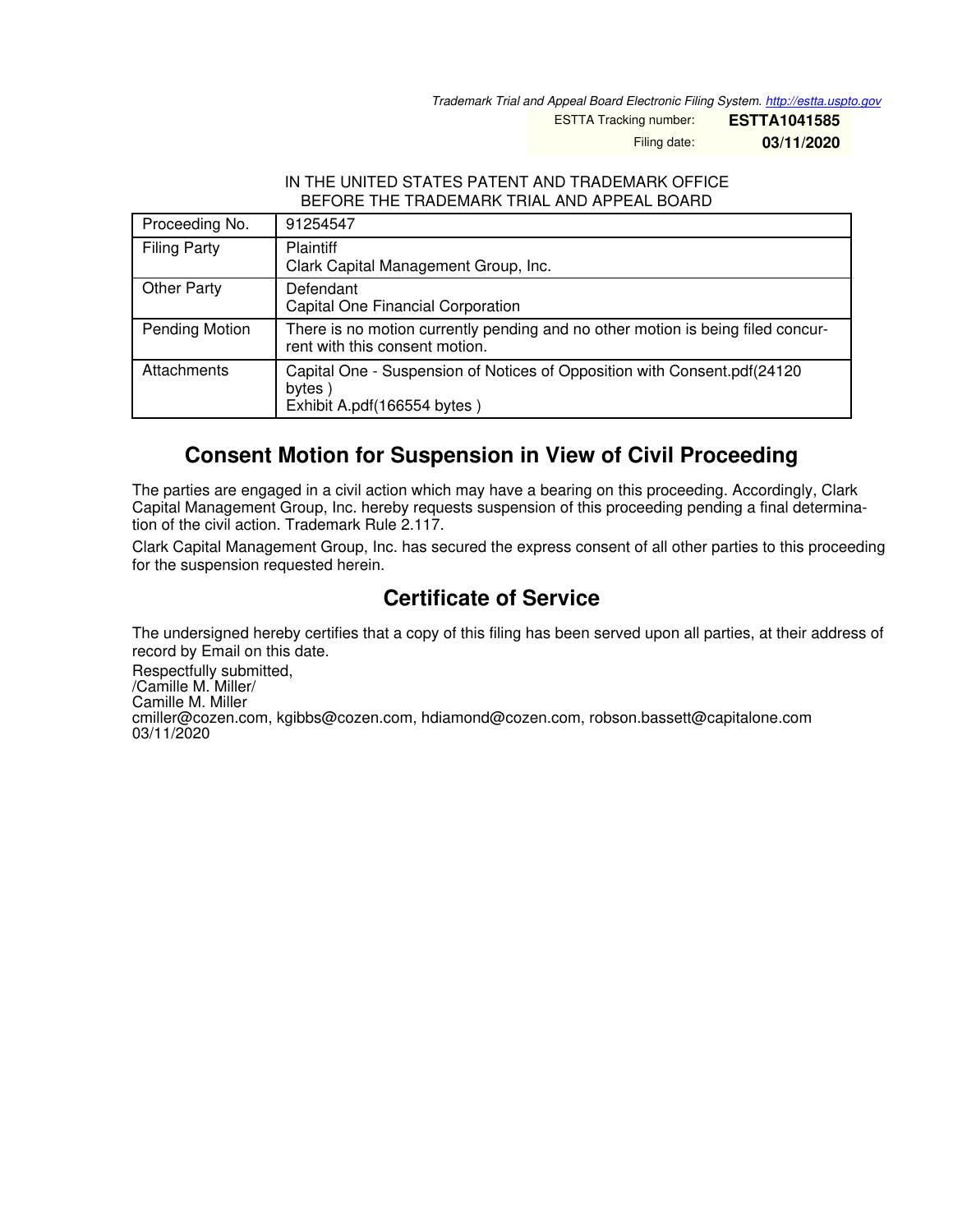*Trademark Trial and Appeal Board Electronic Filing System. <http://estta.uspto.gov>*

ESTTA Tracking number: **ESTTA1041585**

Filing date: **03/11/2020**

#### IN THE UNITED STATES PATENT AND TRADEMARK OFFICE BEFORE THE TRADEMARK TRIAL AND APPEAL BOARD

| Proceeding No.      | 91254547                                                                                                          |
|---------------------|-------------------------------------------------------------------------------------------------------------------|
| <b>Filing Party</b> | <b>Plaintiff</b><br>Clark Capital Management Group, Inc.                                                          |
| <b>Other Party</b>  | Defendant<br><b>Capital One Financial Corporation</b>                                                             |
| Pending Motion      | There is no motion currently pending and no other motion is being filed concur-<br>rent with this consent motion. |
| Attachments         | Capital One - Suspension of Notices of Opposition with Consent.pdf(24120<br>bytes)<br>Exhibit A.pdf(166554 bytes) |

# **Consent Motion for Suspension in View of Civil Proceeding**

The parties are engaged in a civil action which may have a bearing on this proceeding. Accordingly, Clark Capital Management Group, Inc. hereby requests suspension of this proceeding pending a final determination of the civil action. Trademark Rule 2.117.

Clark Capital Management Group, Inc. has secured the express consent of all other parties to this proceeding for the suspension requested herein.

# **Certificate of Service**

The undersigned hereby certifies that a copy of this filing has been served upon all parties, at their address of record by Email on this date.

Respectfully submitted, /Camille M. Miller/ Camille M. Miller cmiller@cozen.com, kgibbs@cozen.com, hdiamond@cozen.com, robson.bassett@capitalone.com 03/11/2020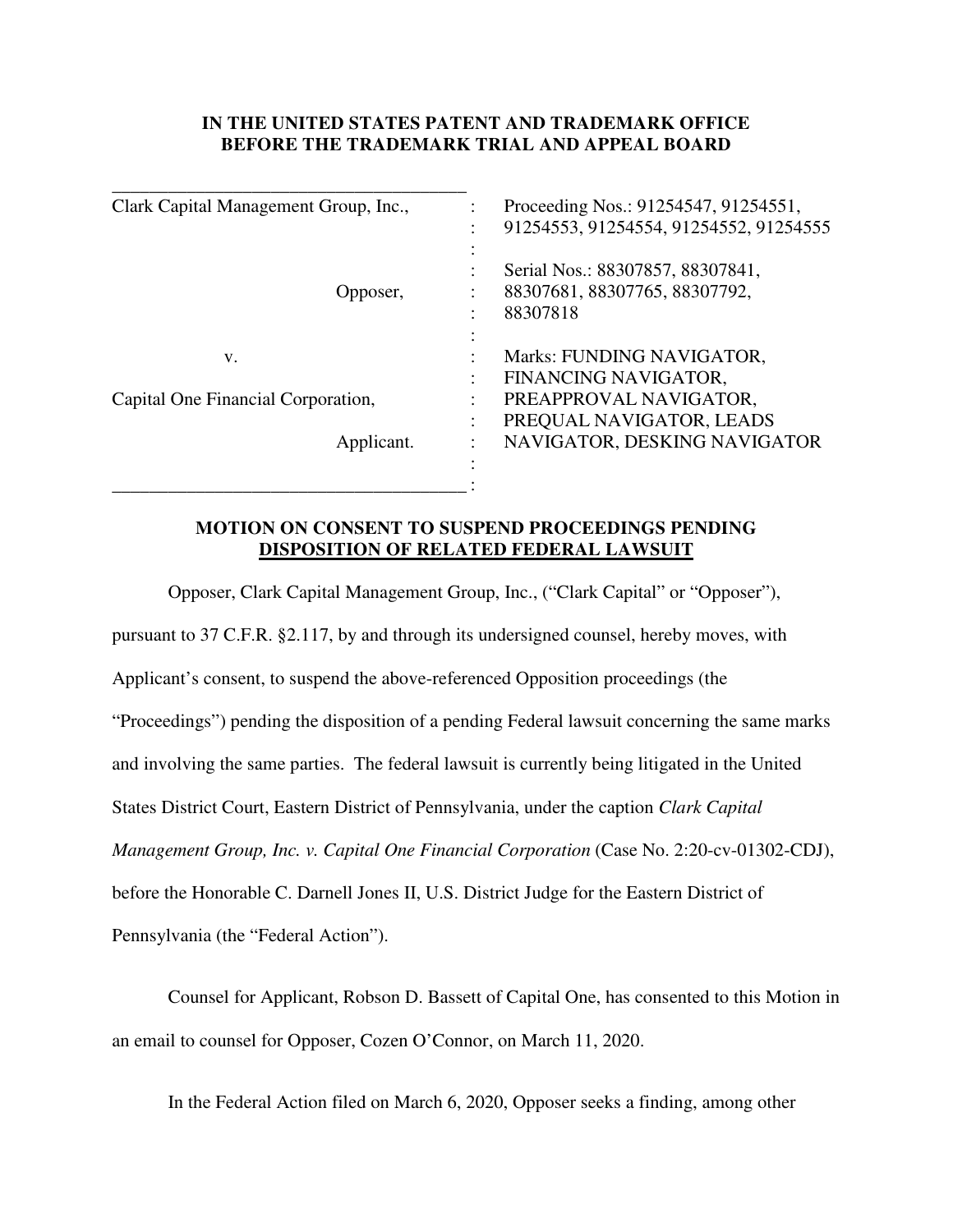## **IN THE UNITED STATES PATENT AND TRADEMARK OFFICE BEFORE THE TRADEMARK TRIAL AND APPEAL BOARD**

| Clark Capital Management Group, Inc., | Proceeding Nos.: 91254547, 91254551,   |
|---------------------------------------|----------------------------------------|
|                                       | 91254553, 91254554, 91254552, 91254555 |
|                                       |                                        |
|                                       | Serial Nos.: 88307857, 88307841,       |
| Opposer,                              | 88307681, 88307765, 88307792,          |
|                                       | 88307818                               |
|                                       |                                        |
| V.                                    | Marks: FUNDING NAVIGATOR,              |
|                                       | FINANCING NAVIGATOR,                   |
| Capital One Financial Corporation,    | PREAPPROVAL NAVIGATOR,                 |
|                                       | PREQUAL NAVIGATOR, LEADS               |
| Applicant.                            | NAVIGATOR, DESKING NAVIGATOR           |
|                                       |                                        |
|                                       |                                        |

## **MOTION ON CONSENT TO SUSPEND PROCEEDINGS PENDING DISPOSITION OF RELATED FEDERAL LAWSUIT**

 Opposer, Clark Capital Management Group, Inc., ("Clark Capital" or "Opposer"), pursuant to 37 C.F.R. §2.117, by and through its undersigned counsel, hereby moves, with Applicant's consent, to suspend the above-referenced Opposition proceedings (the "Proceedings") pending the disposition of a pending Federal lawsuit concerning the same marks and involving the same parties. The federal lawsuit is currently being litigated in the United States District Court, Eastern District of Pennsylvania, under the caption *Clark Capital Management Group, Inc. v. Capital One Financial Corporation* (Case No. 2:20-cv-01302-CDJ), before the Honorable C. Darnell Jones II, U.S. District Judge for the Eastern District of Pennsylvania (the "Federal Action").

 Counsel for Applicant, Robson D. Bassett of Capital One, has consented to this Motion in an email to counsel for Opposer, Cozen O'Connor, on March 11, 2020.

In the Federal Action filed on March 6, 2020, Opposer seeks a finding, among other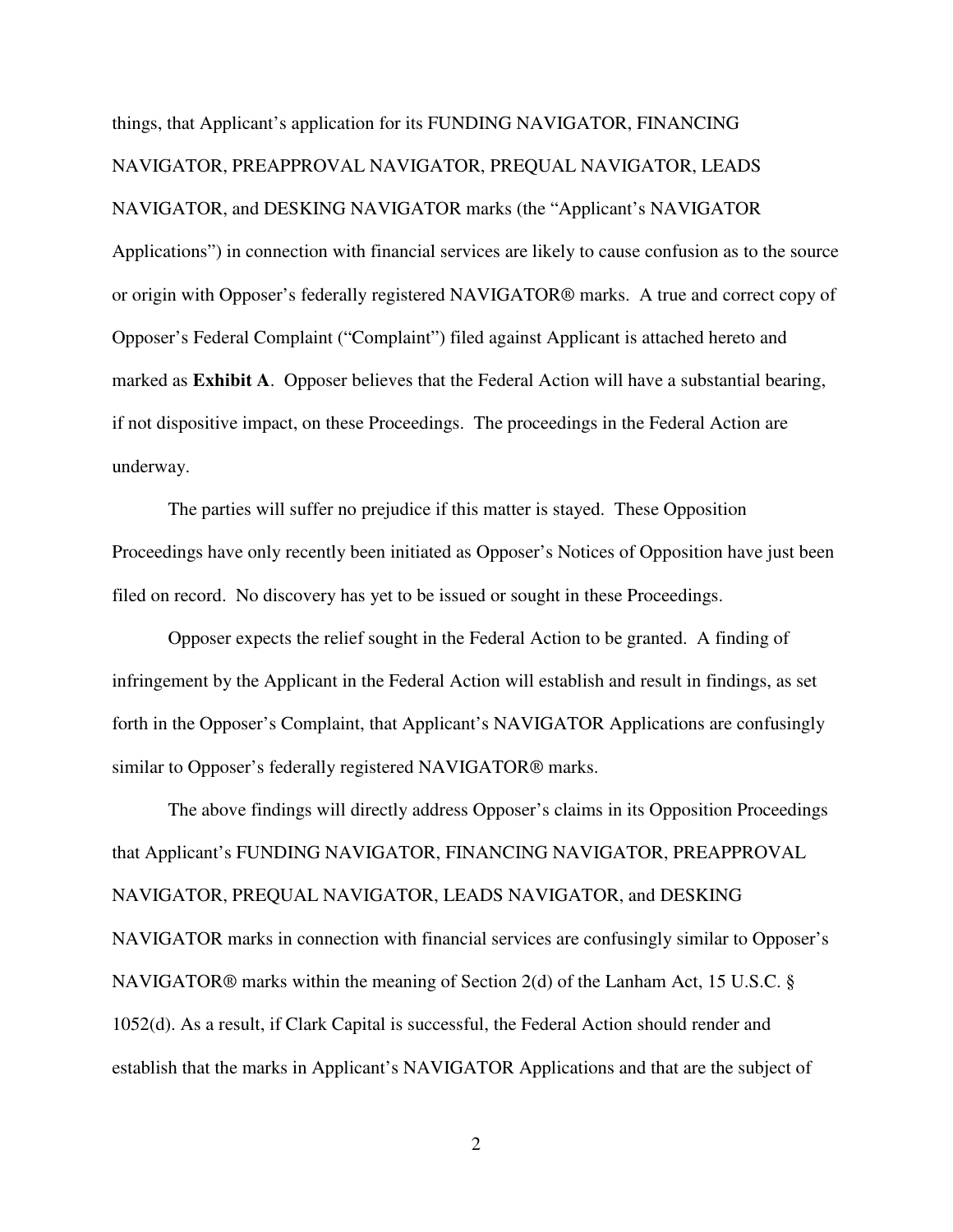things, that Applicant's application for its FUNDING NAVIGATOR, FINANCING NAVIGATOR, PREAPPROVAL NAVIGATOR, PREQUAL NAVIGATOR, LEADS NAVIGATOR, and DESKING NAVIGATOR marks (the "Applicant's NAVIGATOR Applications") in connection with financial services are likely to cause confusion as to the source or origin with Opposer's federally registered NAVIGATOR® marks. A true and correct copy of Opposer's Federal Complaint ("Complaint") filed against Applicant is attached hereto and marked as **Exhibit A**. Opposer believes that the Federal Action will have a substantial bearing, if not dispositive impact, on these Proceedings. The proceedings in the Federal Action are underway.

The parties will suffer no prejudice if this matter is stayed. These Opposition Proceedings have only recently been initiated as Opposer's Notices of Opposition have just been filed on record. No discovery has yet to be issued or sought in these Proceedings.

 Opposer expects the relief sought in the Federal Action to be granted. A finding of infringement by the Applicant in the Federal Action will establish and result in findings, as set forth in the Opposer's Complaint, that Applicant's NAVIGATOR Applications are confusingly similar to Opposer's federally registered NAVIGATOR® marks.

The above findings will directly address Opposer's claims in its Opposition Proceedings that Applicant's FUNDING NAVIGATOR, FINANCING NAVIGATOR, PREAPPROVAL NAVIGATOR, PREQUAL NAVIGATOR, LEADS NAVIGATOR, and DESKING NAVIGATOR marks in connection with financial services are confusingly similar to Opposer's NAVIGATOR® marks within the meaning of Section 2(d) of the Lanham Act, 15 U.S.C. § 1052(d). As a result, if Clark Capital is successful, the Federal Action should render and establish that the marks in Applicant's NAVIGATOR Applications and that are the subject of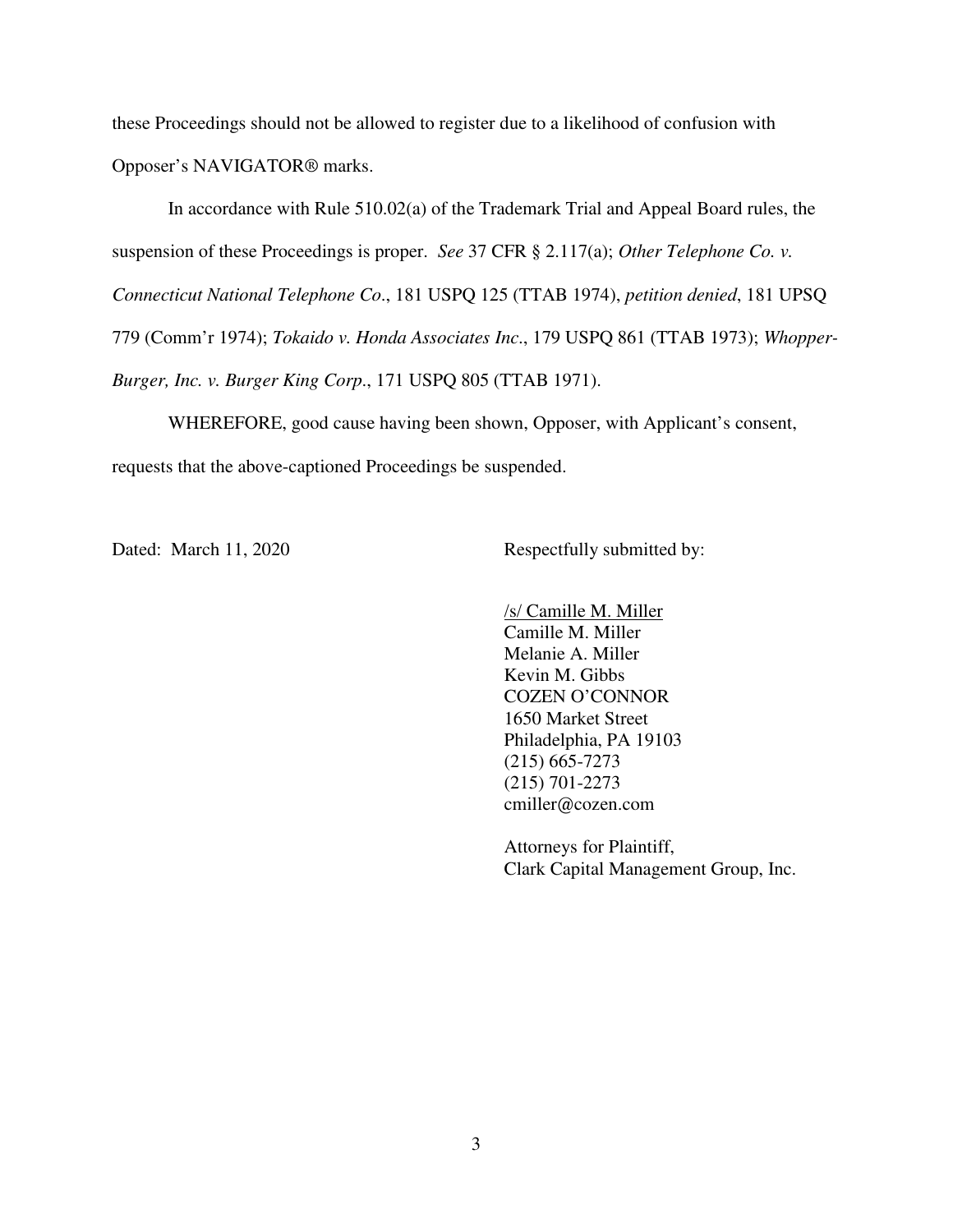these Proceedings should not be allowed to register due to a likelihood of confusion with Opposer's NAVIGATOR® marks.

In accordance with Rule 510.02(a) of the Trademark Trial and Appeal Board rules, the suspension of these Proceedings is proper. *See* 37 CFR § 2.117(a); *Other Telephone Co. v. Connecticut National Telephone Co*., 181 USPQ 125 (TTAB 1974), *petition denied*, 181 UPSQ 779 (Comm'r 1974); *Tokaido v. Honda Associates Inc*., 179 USPQ 861 (TTAB 1973); *Whopper-Burger, Inc. v. Burger King Corp*., 171 USPQ 805 (TTAB 1971).

 WHEREFORE, good cause having been shown, Opposer, with Applicant's consent, requests that the above-captioned Proceedings be suspended.

Dated: March 11, 2020 Respectfully submitted by:

 /s/ Camille M. Miller Camille M. Miller Melanie A. Miller Kevin M. Gibbs COZEN O'CONNOR 1650 Market Street Philadelphia, PA 19103 (215) 665-7273 (215) 701-2273 cmiller@cozen.com

 Attorneys for Plaintiff, Clark Capital Management Group, Inc.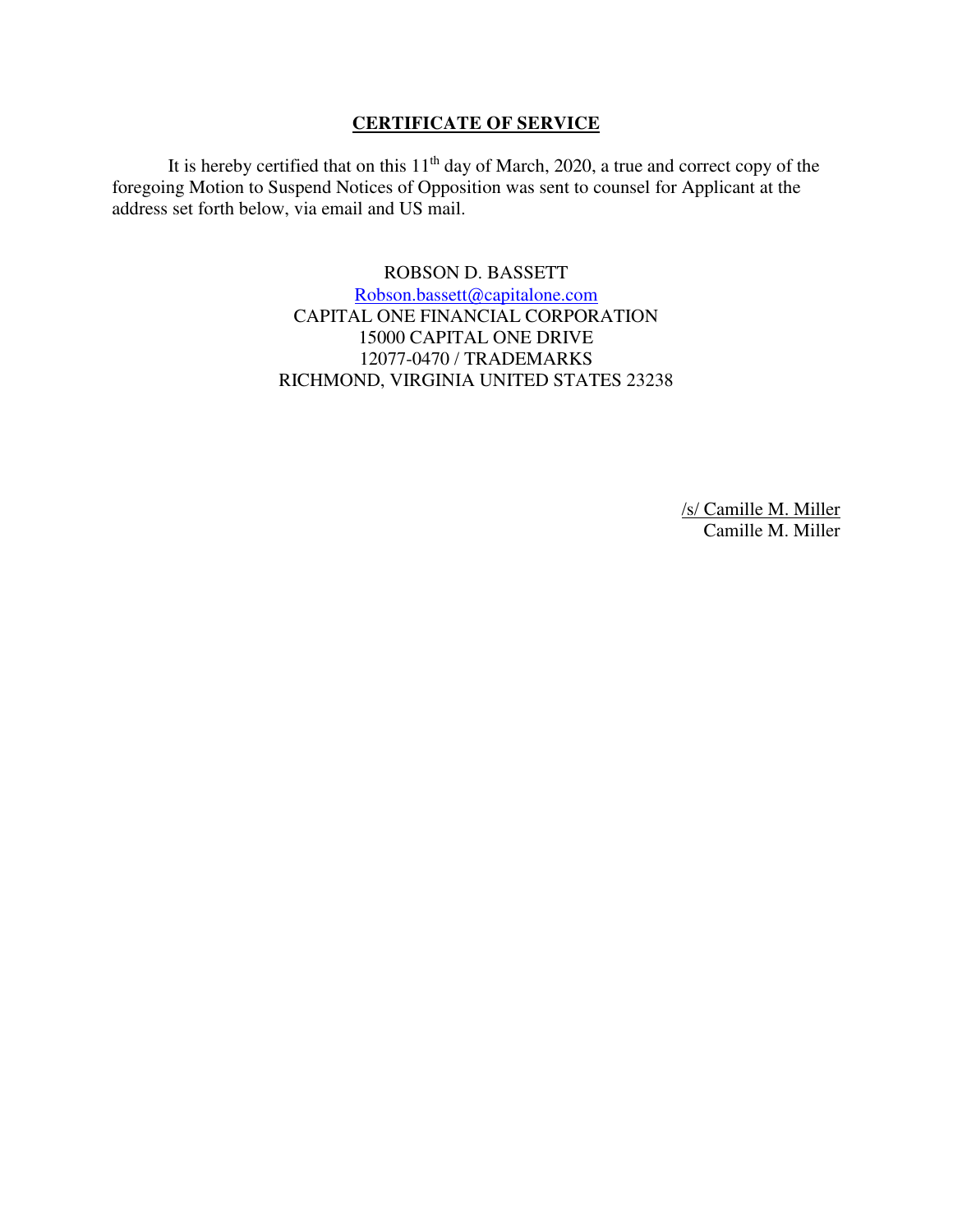## **CERTIFICATE OF SERVICE**

It is hereby certified that on this  $11<sup>th</sup>$  day of March, 2020, a true and correct copy of the foregoing Motion to Suspend Notices of Opposition was sent to counsel for Applicant at the address set forth below, via email and US mail.

> ROBSON D. BASSETT [Robson.bassett@capitalone.com](mailto:Robson.bassett@capitalone.com)  CAPITAL ONE FINANCIAL CORPORATION 15000 CAPITAL ONE DRIVE 12077-0470 / TRADEMARKS RICHMOND, VIRGINIA UNITED STATES 23238

> > /s/ Camille M. Miller Camille M. Miller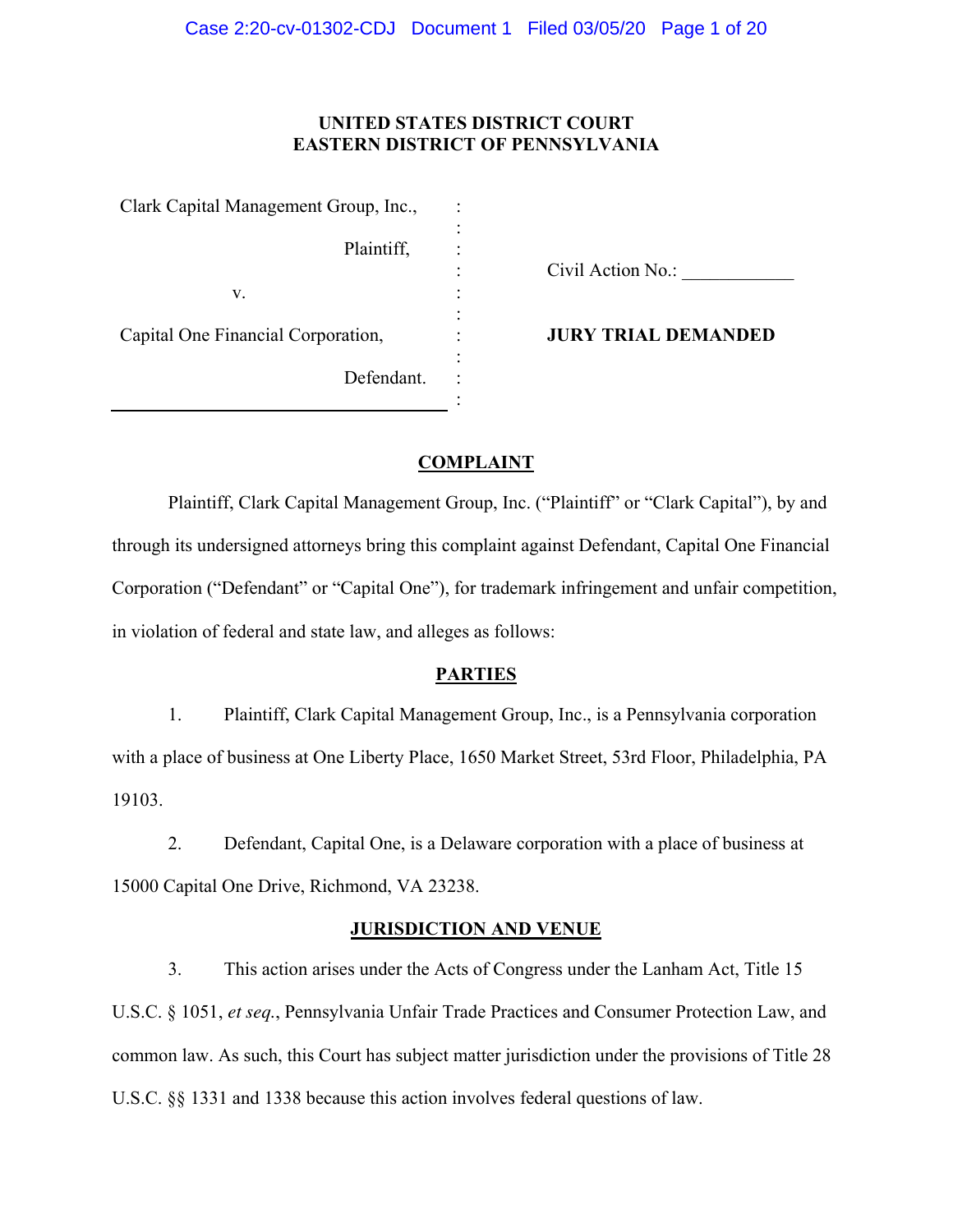## **UNITED STATES DISTRICT COURT EASTERN DISTRICT OF PENNSYLVANIA**

: : : : : : : : : :

Clark Capital Management Group, Inc., Plaintiff, v. Capital One Financial Corporation, Defendant.

Civil Action No.:

**JURY TRIAL DEMANDED** 

## **COMPLAINT**

Plaintiff, Clark Capital Management Group, Inc. ("Plaintiff" or "Clark Capital"), by and through its undersigned attorneys bring this complaint against Defendant, Capital One Financial Corporation ("Defendant" or "Capital One"), for trademark infringement and unfair competition, in violation of federal and state law, and alleges as follows:

## **PARTIES**

1. Plaintiff, Clark Capital Management Group, Inc., is a Pennsylvania corporation with a place of business at One Liberty Place, 1650 Market Street, 53rd Floor, Philadelphia, PA 19103.

2. Defendant, Capital One, is a Delaware corporation with a place of business at 15000 Capital One Drive, Richmond, VA 23238.

#### **JURISDICTION AND VENUE**

3. This action arises under the Acts of Congress under the Lanham Act, Title 15 U.S.C. § 1051, *et seq.*, Pennsylvania Unfair Trade Practices and Consumer Protection Law, and common law. As such, this Court has subject matter jurisdiction under the provisions of Title 28 U.S.C. §§ 1331 and 1338 because this action involves federal questions of law.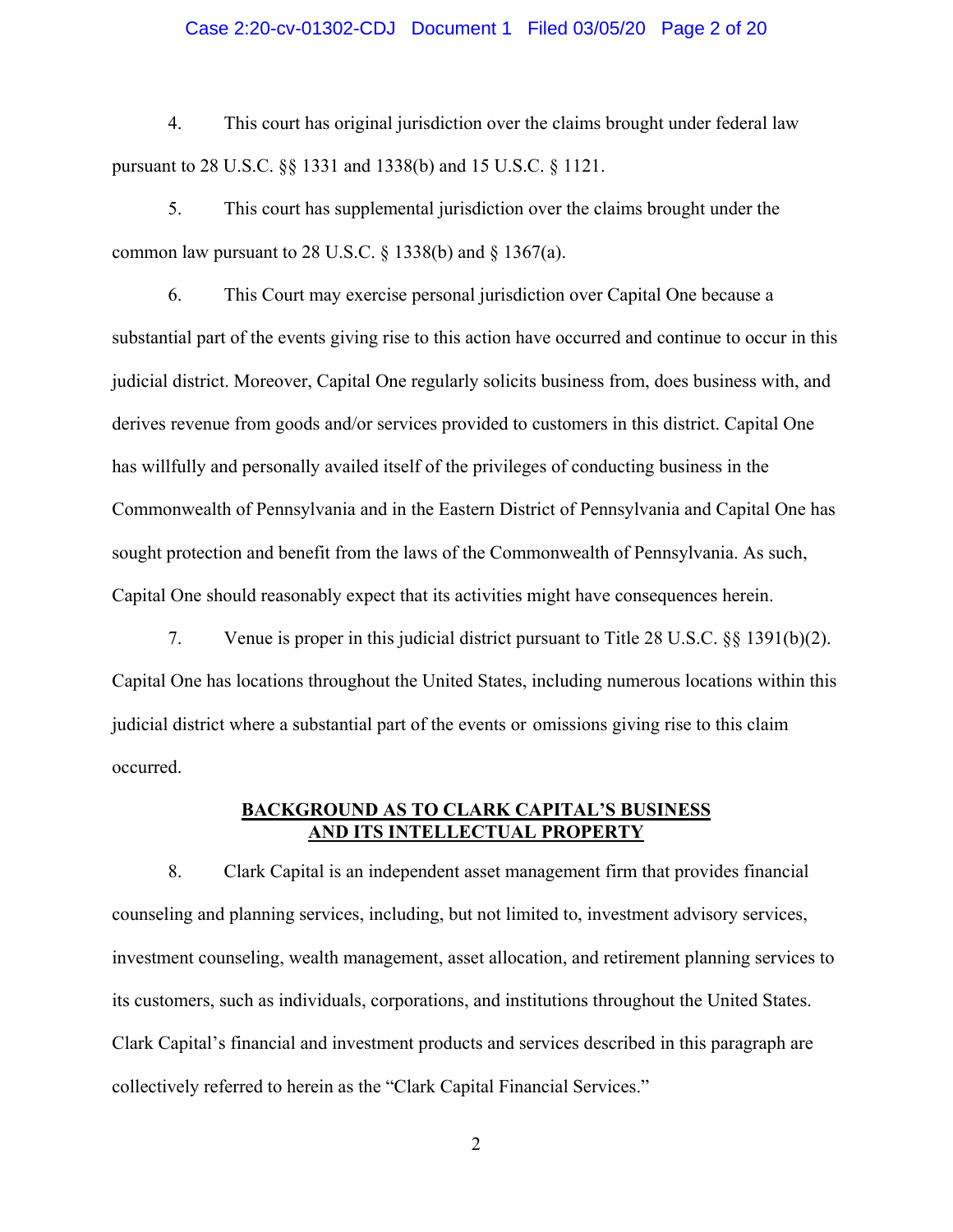#### Case 2:20-cv-01302-CDJ Document 1 Filed 03/05/20 Page 2 of 20

4. This court has original jurisdiction over the claims brought under federal law pursuant to 28 U.S.C. §§ 1331 and 1338(b) and 15 U.S.C. § 1121.

5. This court has supplemental jurisdiction over the claims brought under the common law pursuant to 28 U.S.C.  $\S$  1338(b) and  $\S$  1367(a).

6. This Court may exercise personal jurisdiction over Capital One because a substantial part of the events giving rise to this action have occurred and continue to occur in this judicial district. Moreover, Capital One regularly solicits business from, does business with, and derives revenue from goods and/or services provided to customers in this district. Capital One has willfully and personally availed itself of the privileges of conducting business in the Commonwealth of Pennsylvania and in the Eastern District of Pennsylvania and Capital One has sought protection and benefit from the laws of the Commonwealth of Pennsylvania. As such, Capital One should reasonably expect that its activities might have consequences herein.

7. Venue is proper in this judicial district pursuant to Title 28 U.S.C. §§ 1391(b)(2). Capital One has locations throughout the United States, including numerous locations within this judicial district where a substantial part of the events or omissions giving rise to this claim occurred.

## **BACKGROUND AS TO CLARK CAPITAL'S BUSINESS AND ITS INTELLECTUAL PROPERTY**

8. Clark Capital is an independent asset management firm that provides financial counseling and planning services, including, but not limited to, investment advisory services, investment counseling, wealth management, asset allocation, and retirement planning services to its customers, such as individuals, corporations, and institutions throughout the United States. Clark Capital's financial and investment products and services described in this paragraph are collectively referred to herein as the "Clark Capital Financial Services."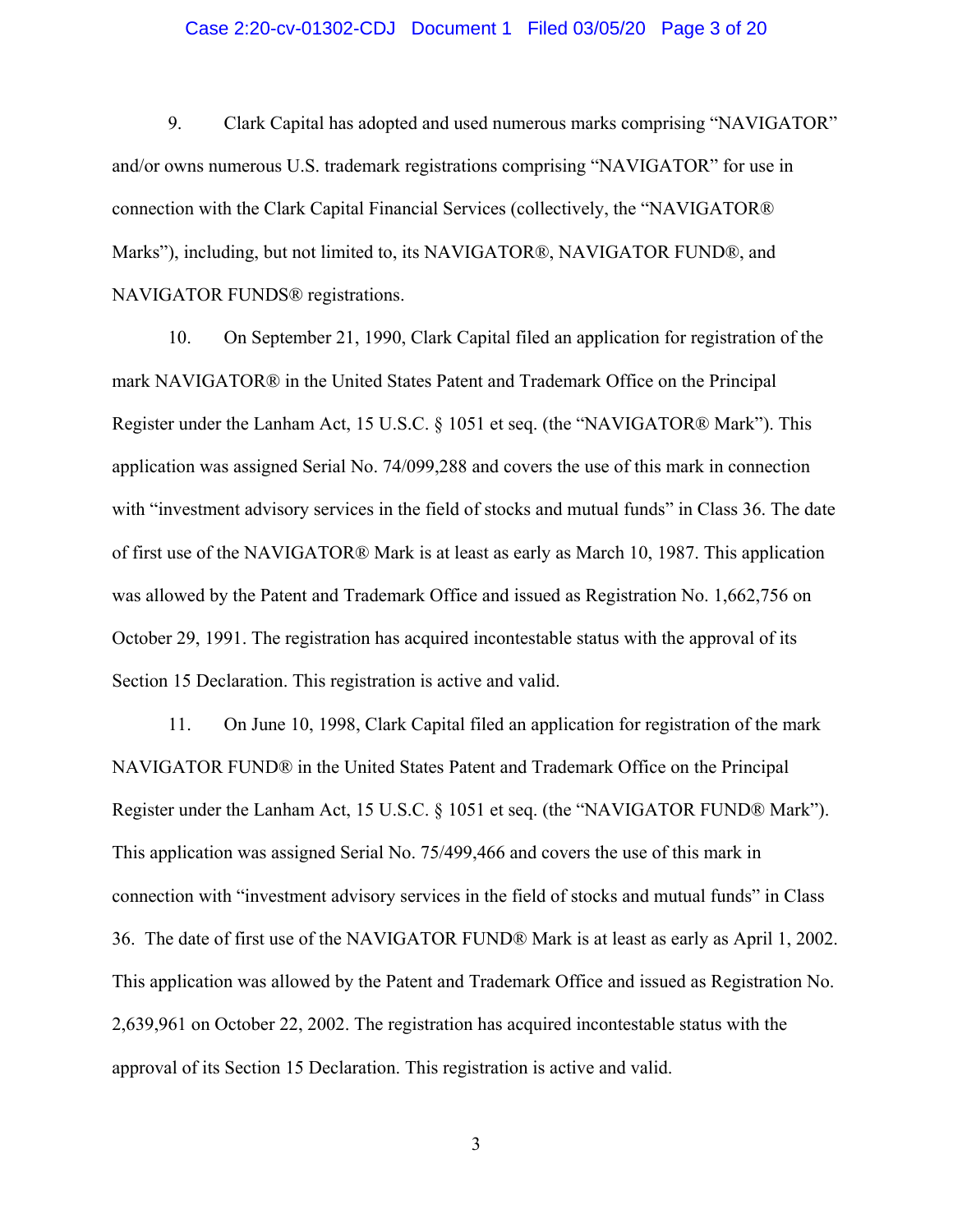#### Case 2:20-cv-01302-CDJ Document 1 Filed 03/05/20 Page 3 of 20

9. Clark Capital has adopted and used numerous marks comprising "NAVIGATOR" and/or owns numerous U.S. trademark registrations comprising "NAVIGATOR" for use in connection with the Clark Capital Financial Services (collectively, the "NAVIGATOR® Marks"), including, but not limited to, its NAVIGATOR®, NAVIGATOR FUND®, and NAVIGATOR FUNDS® registrations.

10. On September 21, 1990, Clark Capital filed an application for registration of the mark NAVIGATOR® in the United States Patent and Trademark Office on the Principal Register under the Lanham Act, 15 U.S.C. § 1051 et seq. (the "NAVIGATOR® Mark"). This application was assigned Serial No. 74/099,288 and covers the use of this mark in connection with "investment advisory services in the field of stocks and mutual funds" in Class 36. The date of first use of the NAVIGATOR® Mark is at least as early as March 10, 1987. This application was allowed by the Patent and Trademark Office and issued as Registration No. 1,662,756 on October 29, 1991. The registration has acquired incontestable status with the approval of its Section 15 Declaration. This registration is active and valid.

11. On June 10, 1998, Clark Capital filed an application for registration of the mark NAVIGATOR FUND® in the United States Patent and Trademark Office on the Principal Register under the Lanham Act, 15 U.S.C. § 1051 et seq. (the "NAVIGATOR FUND® Mark"). This application was assigned Serial No. 75/499,466 and covers the use of this mark in connection with "investment advisory services in the field of stocks and mutual funds" in Class 36. The date of first use of the NAVIGATOR FUND® Mark is at least as early as April 1, 2002. This application was allowed by the Patent and Trademark Office and issued as Registration No. 2,639,961 on October 22, 2002. The registration has acquired incontestable status with the approval of its Section 15 Declaration. This registration is active and valid.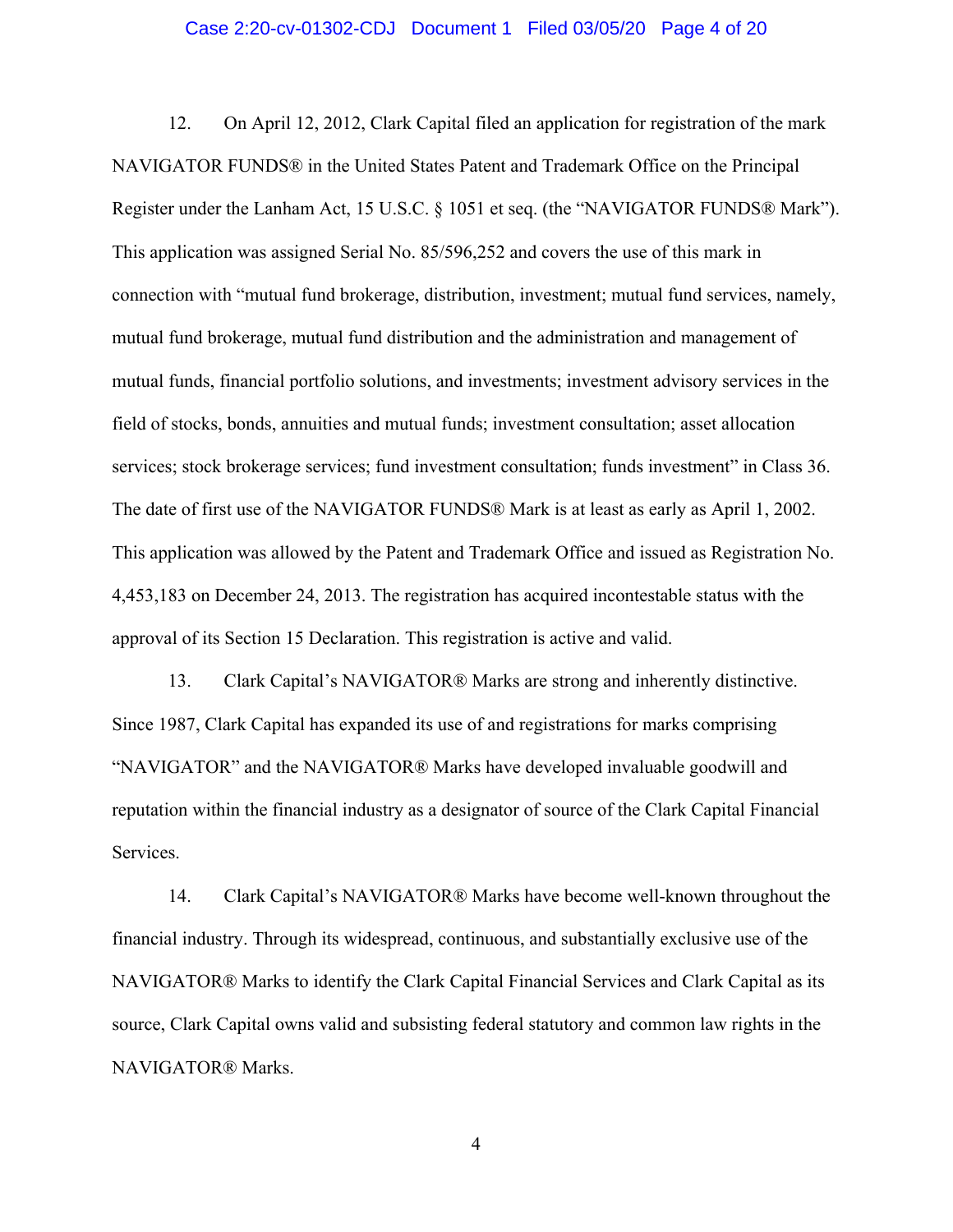#### Case 2:20-cv-01302-CDJ Document 1 Filed 03/05/20 Page 4 of 20

12. On April 12, 2012, Clark Capital filed an application for registration of the mark NAVIGATOR FUNDS® in the United States Patent and Trademark Office on the Principal Register under the Lanham Act, 15 U.S.C. § 1051 et seq. (the "NAVIGATOR FUNDS® Mark"). This application was assigned Serial No. 85/596,252 and covers the use of this mark in connection with "mutual fund brokerage, distribution, investment; mutual fund services, namely, mutual fund brokerage, mutual fund distribution and the administration and management of mutual funds, financial portfolio solutions, and investments; investment advisory services in the field of stocks, bonds, annuities and mutual funds; investment consultation; asset allocation services; stock brokerage services; fund investment consultation; funds investment" in Class 36. The date of first use of the NAVIGATOR FUNDS® Mark is at least as early as April 1, 2002. This application was allowed by the Patent and Trademark Office and issued as Registration No. 4,453,183 on December 24, 2013. The registration has acquired incontestable status with the approval of its Section 15 Declaration. This registration is active and valid.

13. Clark Capital's NAVIGATOR® Marks are strong and inherently distinctive. Since 1987, Clark Capital has expanded its use of and registrations for marks comprising "NAVIGATOR" and the NAVIGATOR® Marks have developed invaluable goodwill and reputation within the financial industry as a designator of source of the Clark Capital Financial Services.

14. Clark Capital's NAVIGATOR® Marks have become well-known throughout the financial industry. Through its widespread, continuous, and substantially exclusive use of the NAVIGATOR® Marks to identify the Clark Capital Financial Services and Clark Capital as its source, Clark Capital owns valid and subsisting federal statutory and common law rights in the NAVIGATOR® Marks.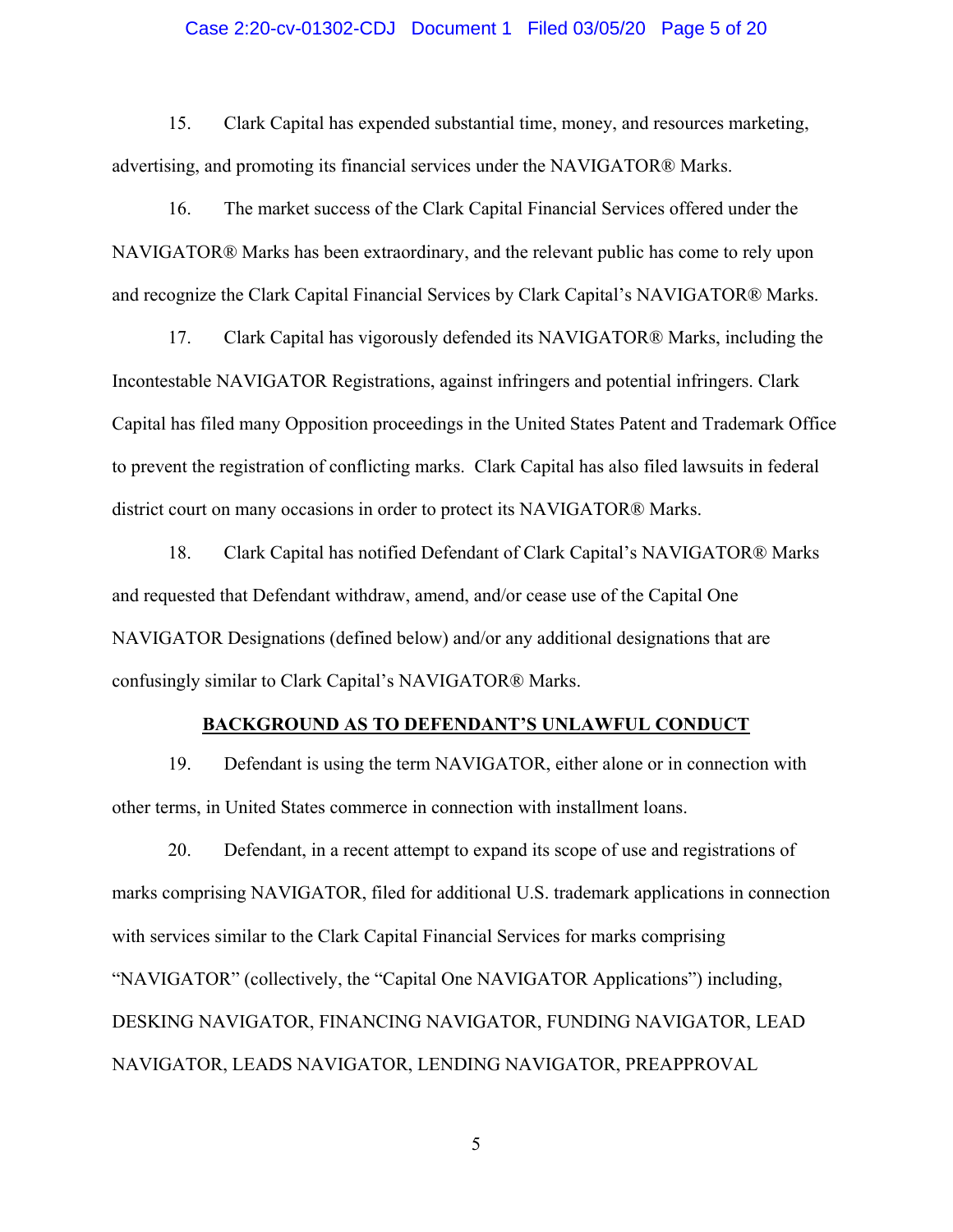#### Case 2:20-cv-01302-CDJ Document 1 Filed 03/05/20 Page 5 of 20

15. Clark Capital has expended substantial time, money, and resources marketing, advertising, and promoting its financial services under the NAVIGATOR® Marks.

16. The market success of the Clark Capital Financial Services offered under the NAVIGATOR® Marks has been extraordinary, and the relevant public has come to rely upon and recognize the Clark Capital Financial Services by Clark Capital's NAVIGATOR® Marks.

17. Clark Capital has vigorously defended its NAVIGATOR® Marks, including the Incontestable NAVIGATOR Registrations, against infringers and potential infringers. Clark Capital has filed many Opposition proceedings in the United States Patent and Trademark Office to prevent the registration of conflicting marks. Clark Capital has also filed lawsuits in federal district court on many occasions in order to protect its NAVIGATOR® Marks.

18. Clark Capital has notified Defendant of Clark Capital's NAVIGATOR® Marks and requested that Defendant withdraw, amend, and/or cease use of the Capital One NAVIGATOR Designations (defined below) and/or any additional designations that are confusingly similar to Clark Capital's NAVIGATOR® Marks.

#### **BACKGROUND AS TO DEFENDANT'S UNLAWFUL CONDUCT**

19. Defendant is using the term NAVIGATOR, either alone or in connection with other terms, in United States commerce in connection with installment loans.

20. Defendant, in a recent attempt to expand its scope of use and registrations of marks comprising NAVIGATOR, filed for additional U.S. trademark applications in connection with services similar to the Clark Capital Financial Services for marks comprising "NAVIGATOR" (collectively, the "Capital One NAVIGATOR Applications") including, DESKING NAVIGATOR, FINANCING NAVIGATOR, FUNDING NAVIGATOR, LEAD NAVIGATOR, LEADS NAVIGATOR, LENDING NAVIGATOR, PREAPPROVAL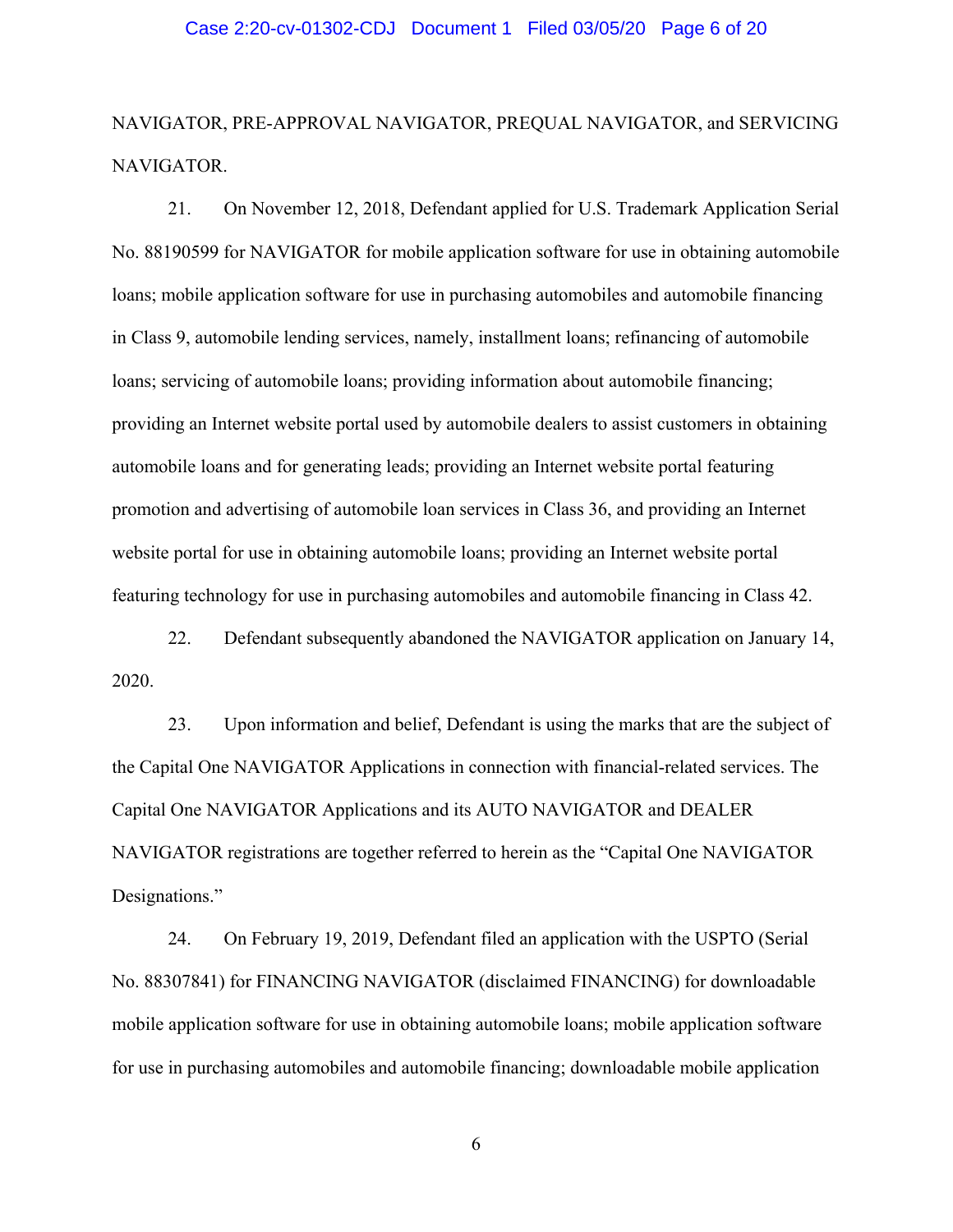NAVIGATOR, PRE-APPROVAL NAVIGATOR, PREQUAL NAVIGATOR, and SERVICING NAVIGATOR.

21. On November 12, 2018, Defendant applied for U.S. Trademark Application Serial No. 88190599 for NAVIGATOR for mobile application software for use in obtaining automobile loans; mobile application software for use in purchasing automobiles and automobile financing in Class 9, automobile lending services, namely, installment loans; refinancing of automobile loans; servicing of automobile loans; providing information about automobile financing; providing an Internet website portal used by automobile dealers to assist customers in obtaining automobile loans and for generating leads; providing an Internet website portal featuring promotion and advertising of automobile loan services in Class 36, and providing an Internet website portal for use in obtaining automobile loans; providing an Internet website portal featuring technology for use in purchasing automobiles and automobile financing in Class 42.

22. Defendant subsequently abandoned the NAVIGATOR application on January 14, 2020.

23. Upon information and belief, Defendant is using the marks that are the subject of the Capital One NAVIGATOR Applications in connection with financial-related services. The Capital One NAVIGATOR Applications and its AUTO NAVIGATOR and DEALER NAVIGATOR registrations are together referred to herein as the "Capital One NAVIGATOR Designations."

24. On February 19, 2019, Defendant filed an application with the USPTO (Serial No. 88307841) for FINANCING NAVIGATOR (disclaimed FINANCING) for downloadable mobile application software for use in obtaining automobile loans; mobile application software for use in purchasing automobiles and automobile financing; downloadable mobile application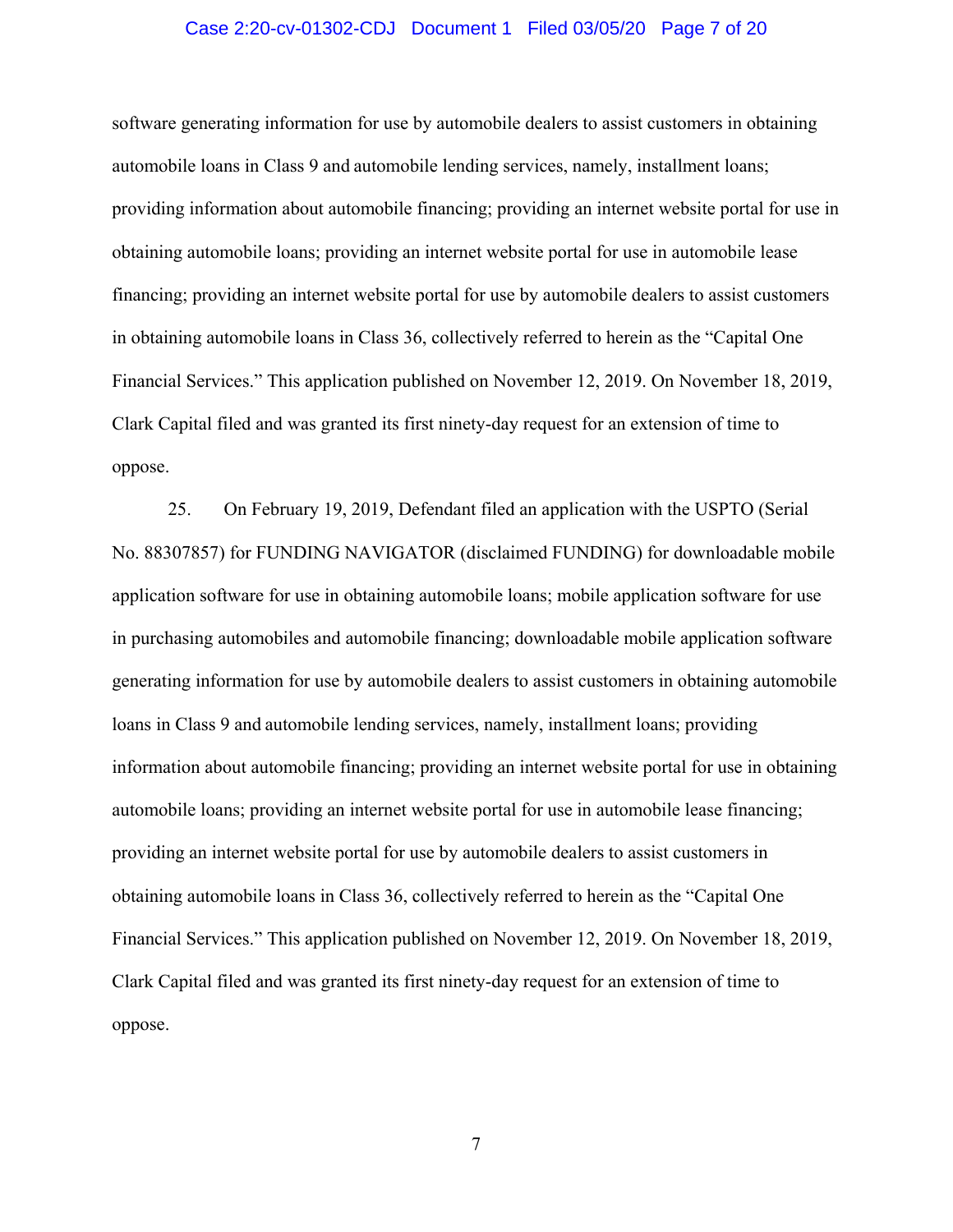#### Case 2:20-cv-01302-CDJ Document 1 Filed 03/05/20 Page 7 of 20

software generating information for use by automobile dealers to assist customers in obtaining automobile loans in Class 9 and automobile lending services, namely, installment loans; providing information about automobile financing; providing an internet website portal for use in obtaining automobile loans; providing an internet website portal for use in automobile lease financing; providing an internet website portal for use by automobile dealers to assist customers in obtaining automobile loans in Class 36, collectively referred to herein as the "Capital One Financial Services." This application published on November 12, 2019. On November 18, 2019, Clark Capital filed and was granted its first ninety-day request for an extension of time to oppose.

25. On February 19, 2019, Defendant filed an application with the USPTO (Serial No. 88307857) for FUNDING NAVIGATOR (disclaimed FUNDING) for downloadable mobile application software for use in obtaining automobile loans; mobile application software for use in purchasing automobiles and automobile financing; downloadable mobile application software generating information for use by automobile dealers to assist customers in obtaining automobile loans in Class 9 and automobile lending services, namely, installment loans; providing information about automobile financing; providing an internet website portal for use in obtaining automobile loans; providing an internet website portal for use in automobile lease financing; providing an internet website portal for use by automobile dealers to assist customers in obtaining automobile loans in Class 36, collectively referred to herein as the "Capital One Financial Services." This application published on November 12, 2019. On November 18, 2019, Clark Capital filed and was granted its first ninety-day request for an extension of time to oppose.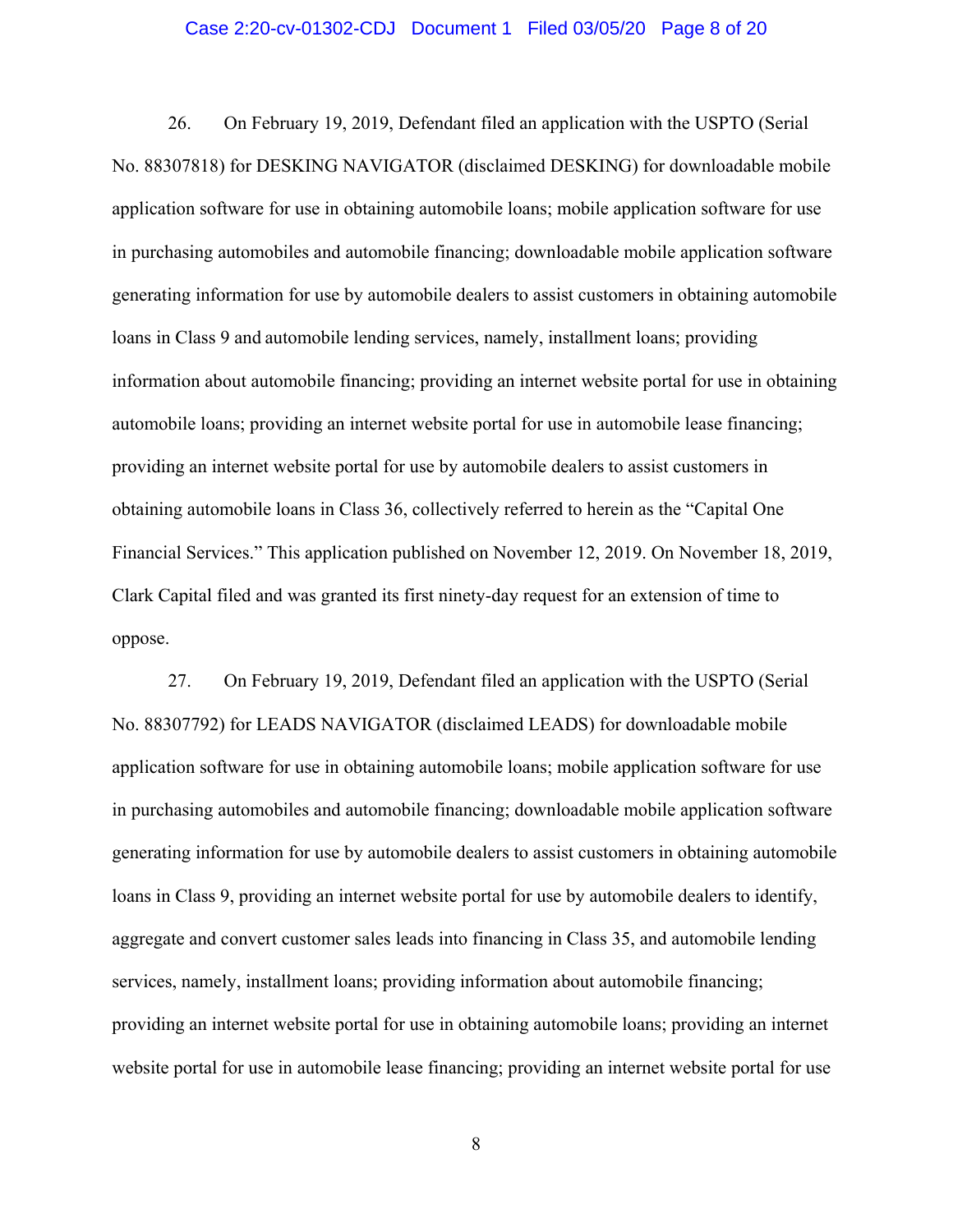#### Case 2:20-cv-01302-CDJ Document 1 Filed 03/05/20 Page 8 of 20

26. On February 19, 2019, Defendant filed an application with the USPTO (Serial No. 88307818) for DESKING NAVIGATOR (disclaimed DESKING) for downloadable mobile application software for use in obtaining automobile loans; mobile application software for use in purchasing automobiles and automobile financing; downloadable mobile application software generating information for use by automobile dealers to assist customers in obtaining automobile loans in Class 9 and automobile lending services, namely, installment loans; providing information about automobile financing; providing an internet website portal for use in obtaining automobile loans; providing an internet website portal for use in automobile lease financing; providing an internet website portal for use by automobile dealers to assist customers in obtaining automobile loans in Class 36, collectively referred to herein as the "Capital One Financial Services." This application published on November 12, 2019. On November 18, 2019, Clark Capital filed and was granted its first ninety-day request for an extension of time to oppose.

27. On February 19, 2019, Defendant filed an application with the USPTO (Serial No. 88307792) for LEADS NAVIGATOR (disclaimed LEADS) for downloadable mobile application software for use in obtaining automobile loans; mobile application software for use in purchasing automobiles and automobile financing; downloadable mobile application software generating information for use by automobile dealers to assist customers in obtaining automobile loans in Class 9, providing an internet website portal for use by automobile dealers to identify, aggregate and convert customer sales leads into financing in Class 35, and automobile lending services, namely, installment loans; providing information about automobile financing; providing an internet website portal for use in obtaining automobile loans; providing an internet website portal for use in automobile lease financing; providing an internet website portal for use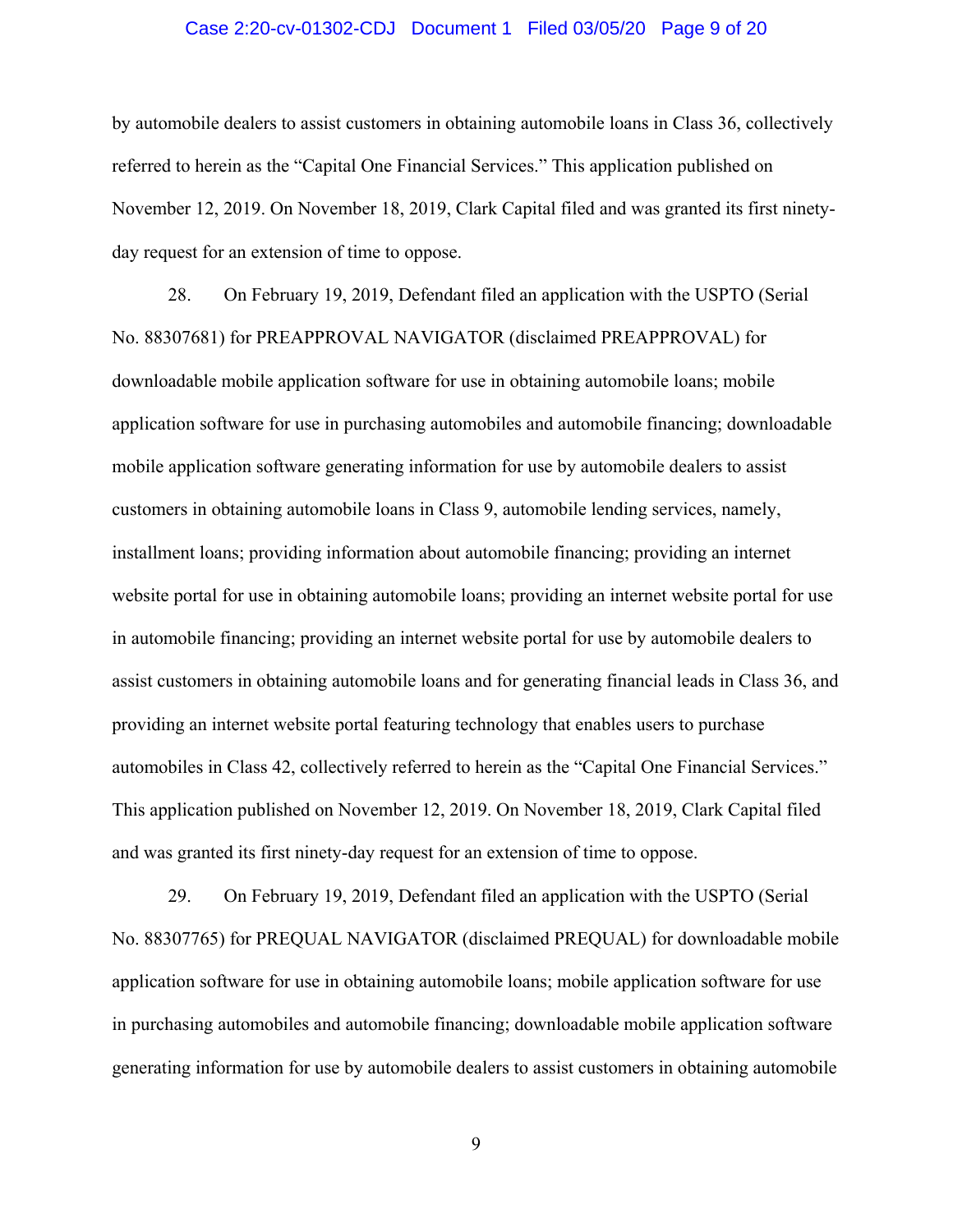#### Case 2:20-cv-01302-CDJ Document 1 Filed 03/05/20 Page 9 of 20

by automobile dealers to assist customers in obtaining automobile loans in Class 36, collectively referred to herein as the "Capital One Financial Services." This application published on November 12, 2019. On November 18, 2019, Clark Capital filed and was granted its first ninetyday request for an extension of time to oppose.

28. On February 19, 2019, Defendant filed an application with the USPTO (Serial No. 88307681) for PREAPPROVAL NAVIGATOR (disclaimed PREAPPROVAL) for downloadable mobile application software for use in obtaining automobile loans; mobile application software for use in purchasing automobiles and automobile financing; downloadable mobile application software generating information for use by automobile dealers to assist customers in obtaining automobile loans in Class 9, automobile lending services, namely, installment loans; providing information about automobile financing; providing an internet website portal for use in obtaining automobile loans; providing an internet website portal for use in automobile financing; providing an internet website portal for use by automobile dealers to assist customers in obtaining automobile loans and for generating financial leads in Class 36, and providing an internet website portal featuring technology that enables users to purchase automobiles in Class 42, collectively referred to herein as the "Capital One Financial Services." This application published on November 12, 2019. On November 18, 2019, Clark Capital filed and was granted its first ninety-day request for an extension of time to oppose.

29. On February 19, 2019, Defendant filed an application with the USPTO (Serial No. 88307765) for PREQUAL NAVIGATOR (disclaimed PREQUAL) for downloadable mobile application software for use in obtaining automobile loans; mobile application software for use in purchasing automobiles and automobile financing; downloadable mobile application software generating information for use by automobile dealers to assist customers in obtaining automobile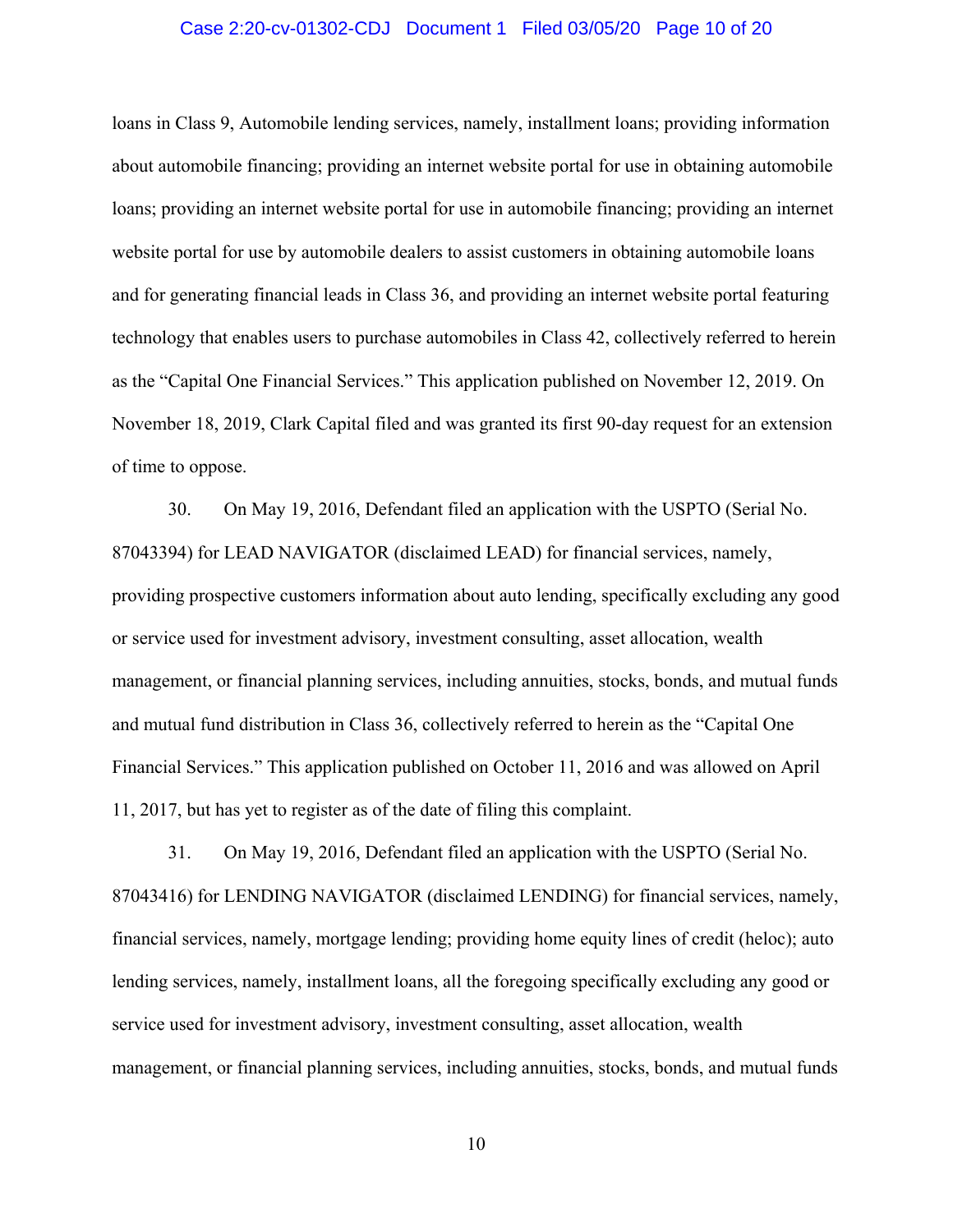#### Case 2:20-cv-01302-CDJ Document 1 Filed 03/05/20 Page 10 of 20

loans in Class 9, Automobile lending services, namely, installment loans; providing information about automobile financing; providing an internet website portal for use in obtaining automobile loans; providing an internet website portal for use in automobile financing; providing an internet website portal for use by automobile dealers to assist customers in obtaining automobile loans and for generating financial leads in Class 36, and providing an internet website portal featuring technology that enables users to purchase automobiles in Class 42, collectively referred to herein as the "Capital One Financial Services." This application published on November 12, 2019. On November 18, 2019, Clark Capital filed and was granted its first 90-day request for an extension of time to oppose.

30. On May 19, 2016, Defendant filed an application with the USPTO (Serial No. 87043394) for LEAD NAVIGATOR (disclaimed LEAD) for financial services, namely, providing prospective customers information about auto lending, specifically excluding any good or service used for investment advisory, investment consulting, asset allocation, wealth management, or financial planning services, including annuities, stocks, bonds, and mutual funds and mutual fund distribution in Class 36, collectively referred to herein as the "Capital One Financial Services." This application published on October 11, 2016 and was allowed on April 11, 2017, but has yet to register as of the date of filing this complaint.

31. On May 19, 2016, Defendant filed an application with the USPTO (Serial No. 87043416) for LENDING NAVIGATOR (disclaimed LENDING) for financial services, namely, financial services, namely, mortgage lending; providing home equity lines of credit (heloc); auto lending services, namely, installment loans, all the foregoing specifically excluding any good or service used for investment advisory, investment consulting, asset allocation, wealth management, or financial planning services, including annuities, stocks, bonds, and mutual funds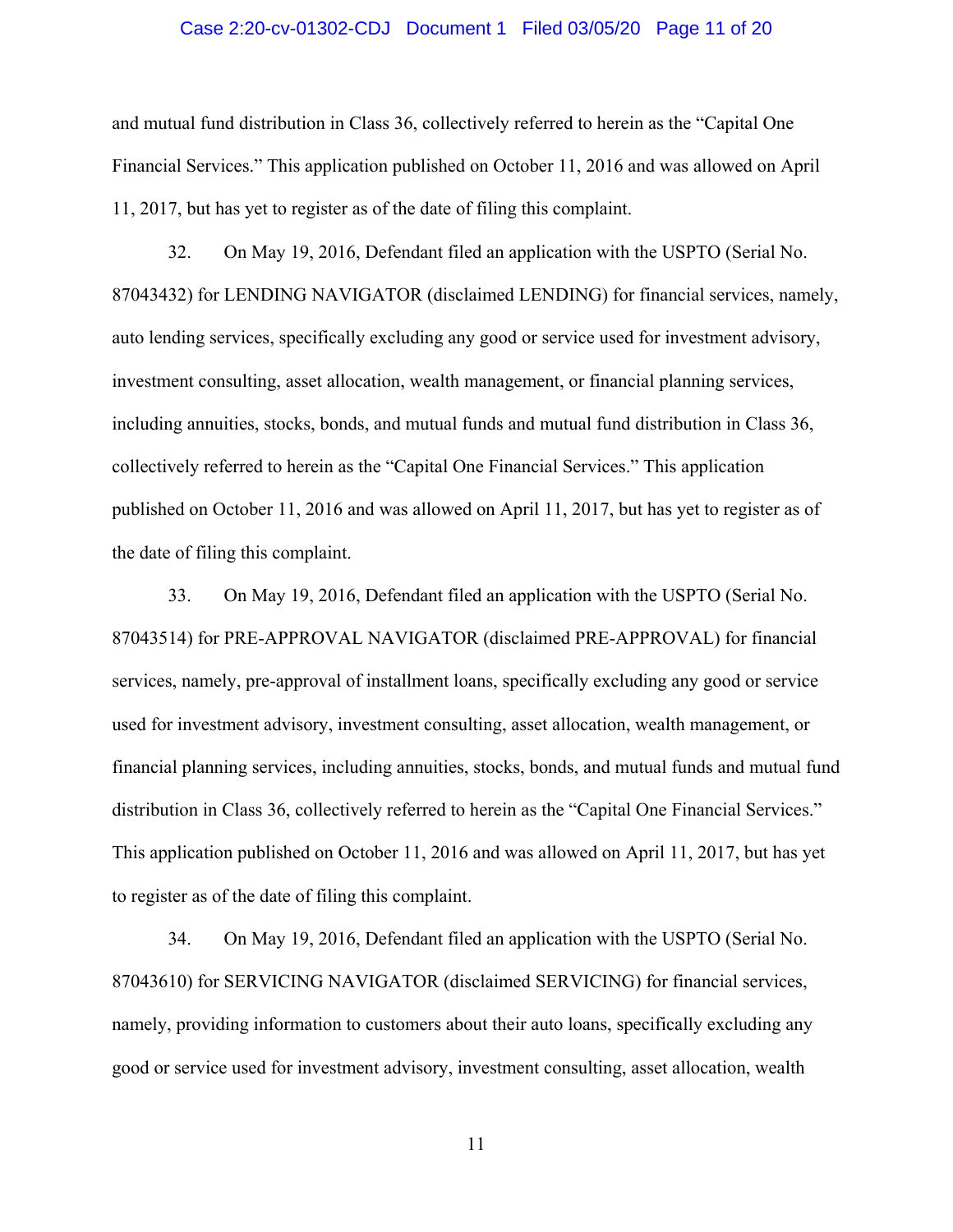#### Case 2:20-cv-01302-CDJ Document 1 Filed 03/05/20 Page 11 of 20

and mutual fund distribution in Class 36, collectively referred to herein as the "Capital One Financial Services." This application published on October 11, 2016 and was allowed on April 11, 2017, but has yet to register as of the date of filing this complaint.

32. On May 19, 2016, Defendant filed an application with the USPTO (Serial No. 87043432) for LENDING NAVIGATOR (disclaimed LENDING) for financial services, namely, auto lending services, specifically excluding any good or service used for investment advisory, investment consulting, asset allocation, wealth management, or financial planning services, including annuities, stocks, bonds, and mutual funds and mutual fund distribution in Class 36, collectively referred to herein as the "Capital One Financial Services." This application published on October 11, 2016 and was allowed on April 11, 2017, but has yet to register as of the date of filing this complaint.

33. On May 19, 2016, Defendant filed an application with the USPTO (Serial No. 87043514) for PRE-APPROVAL NAVIGATOR (disclaimed PRE-APPROVAL) for financial services, namely, pre-approval of installment loans, specifically excluding any good or service used for investment advisory, investment consulting, asset allocation, wealth management, or financial planning services, including annuities, stocks, bonds, and mutual funds and mutual fund distribution in Class 36, collectively referred to herein as the "Capital One Financial Services." This application published on October 11, 2016 and was allowed on April 11, 2017, but has yet to register as of the date of filing this complaint.

34. On May 19, 2016, Defendant filed an application with the USPTO (Serial No. 87043610) for SERVICING NAVIGATOR (disclaimed SERVICING) for financial services, namely, providing information to customers about their auto loans, specifically excluding any good or service used for investment advisory, investment consulting, asset allocation, wealth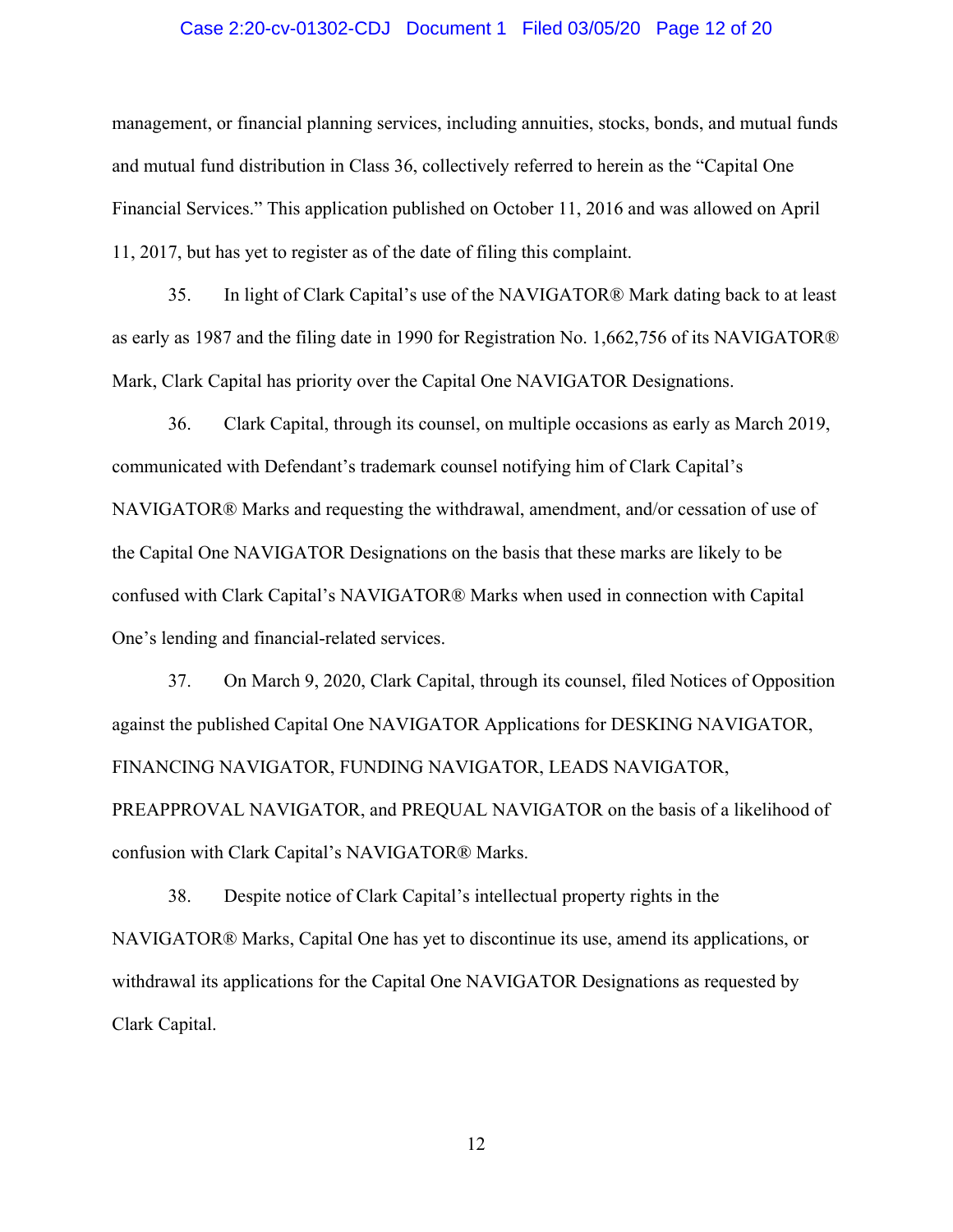#### Case 2:20-cv-01302-CDJ Document 1 Filed 03/05/20 Page 12 of 20

management, or financial planning services, including annuities, stocks, bonds, and mutual funds and mutual fund distribution in Class 36, collectively referred to herein as the "Capital One Financial Services." This application published on October 11, 2016 and was allowed on April 11, 2017, but has yet to register as of the date of filing this complaint.

35. In light of Clark Capital's use of the NAVIGATOR® Mark dating back to at least as early as 1987 and the filing date in 1990 for Registration No. 1,662,756 of its NAVIGATOR® Mark, Clark Capital has priority over the Capital One NAVIGATOR Designations.

36. Clark Capital, through its counsel, on multiple occasions as early as March 2019, communicated with Defendant's trademark counsel notifying him of Clark Capital's NAVIGATOR® Marks and requesting the withdrawal, amendment, and/or cessation of use of the Capital One NAVIGATOR Designations on the basis that these marks are likely to be confused with Clark Capital's NAVIGATOR® Marks when used in connection with Capital One's lending and financial-related services.

37. On March 9, 2020, Clark Capital, through its counsel, filed Notices of Opposition against the published Capital One NAVIGATOR Applications for DESKING NAVIGATOR, FINANCING NAVIGATOR, FUNDING NAVIGATOR, LEADS NAVIGATOR, PREAPPROVAL NAVIGATOR, and PREQUAL NAVIGATOR on the basis of a likelihood of confusion with Clark Capital's NAVIGATOR® Marks.

38. Despite notice of Clark Capital's intellectual property rights in the NAVIGATOR® Marks, Capital One has yet to discontinue its use, amend its applications, or withdrawal its applications for the Capital One NAVIGATOR Designations as requested by Clark Capital.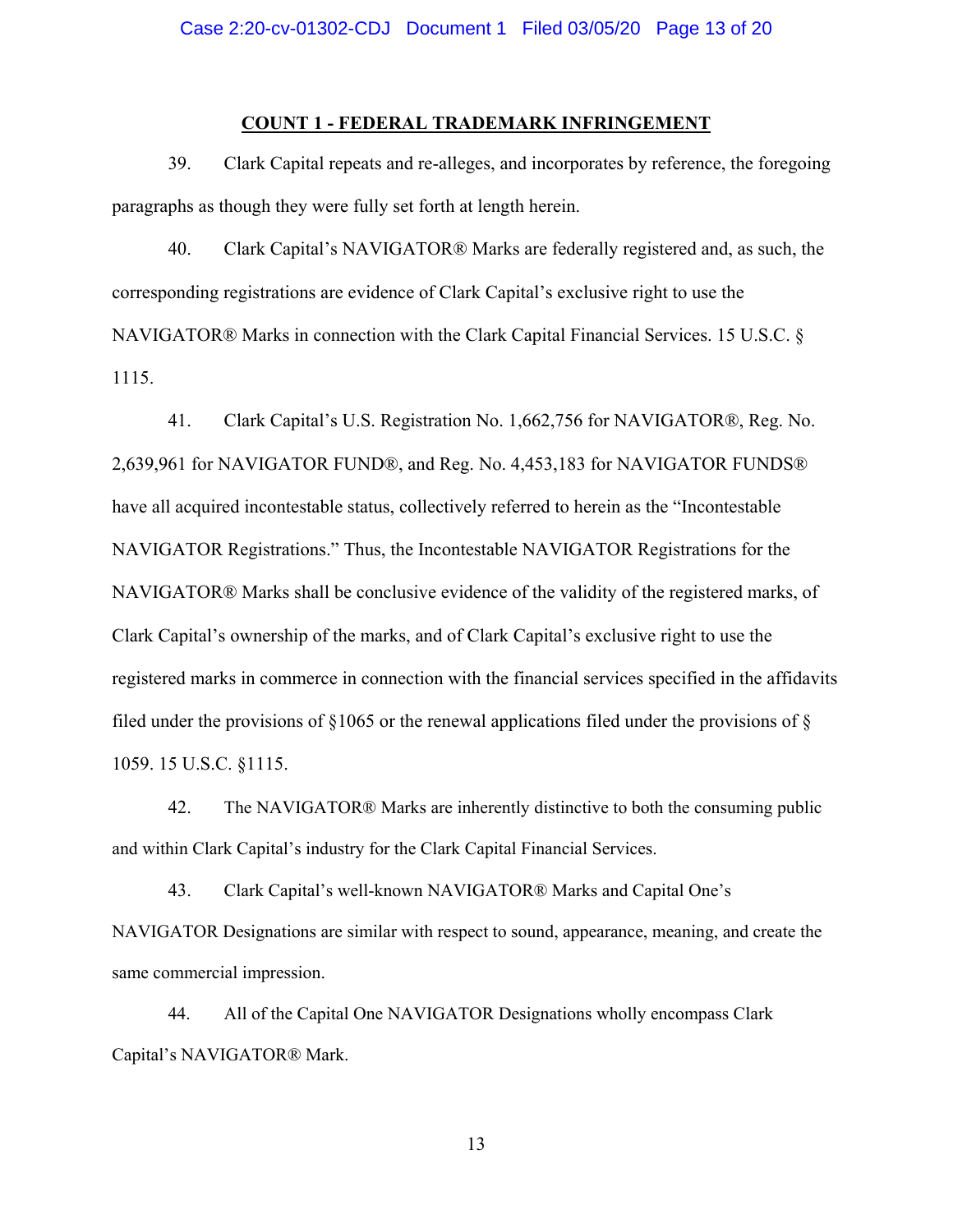#### **COUNT 1 - FEDERAL TRADEMARK INFRINGEMENT**

39. Clark Capital repeats and re-alleges, and incorporates by reference, the foregoing paragraphs as though they were fully set forth at length herein.

40. Clark Capital's NAVIGATOR® Marks are federally registered and, as such, the corresponding registrations are evidence of Clark Capital's exclusive right to use the NAVIGATOR® Marks in connection with the Clark Capital Financial Services. 15 U.S.C. § 1115.

41. Clark Capital's U.S. Registration No. 1,662,756 for NAVIGATOR®, Reg. No. 2,639,961 for NAVIGATOR FUND®, and Reg. No. 4,453,183 for NAVIGATOR FUNDS® have all acquired incontestable status, collectively referred to herein as the "Incontestable NAVIGATOR Registrations." Thus, the Incontestable NAVIGATOR Registrations for the NAVIGATOR® Marks shall be conclusive evidence of the validity of the registered marks, of Clark Capital's ownership of the marks, and of Clark Capital's exclusive right to use the registered marks in commerce in connection with the financial services specified in the affidavits filed under the provisions of  $\S1065$  or the renewal applications filed under the provisions of  $\S$ 1059. 15 U.S.C. §1115.

42. The NAVIGATOR® Marks are inherently distinctive to both the consuming public and within Clark Capital's industry for the Clark Capital Financial Services.

43. Clark Capital's well-known NAVIGATOR® Marks and Capital One's NAVIGATOR Designations are similar with respect to sound, appearance, meaning, and create the same commercial impression.

44. All of the Capital One NAVIGATOR Designations wholly encompass Clark Capital's NAVIGATOR® Mark.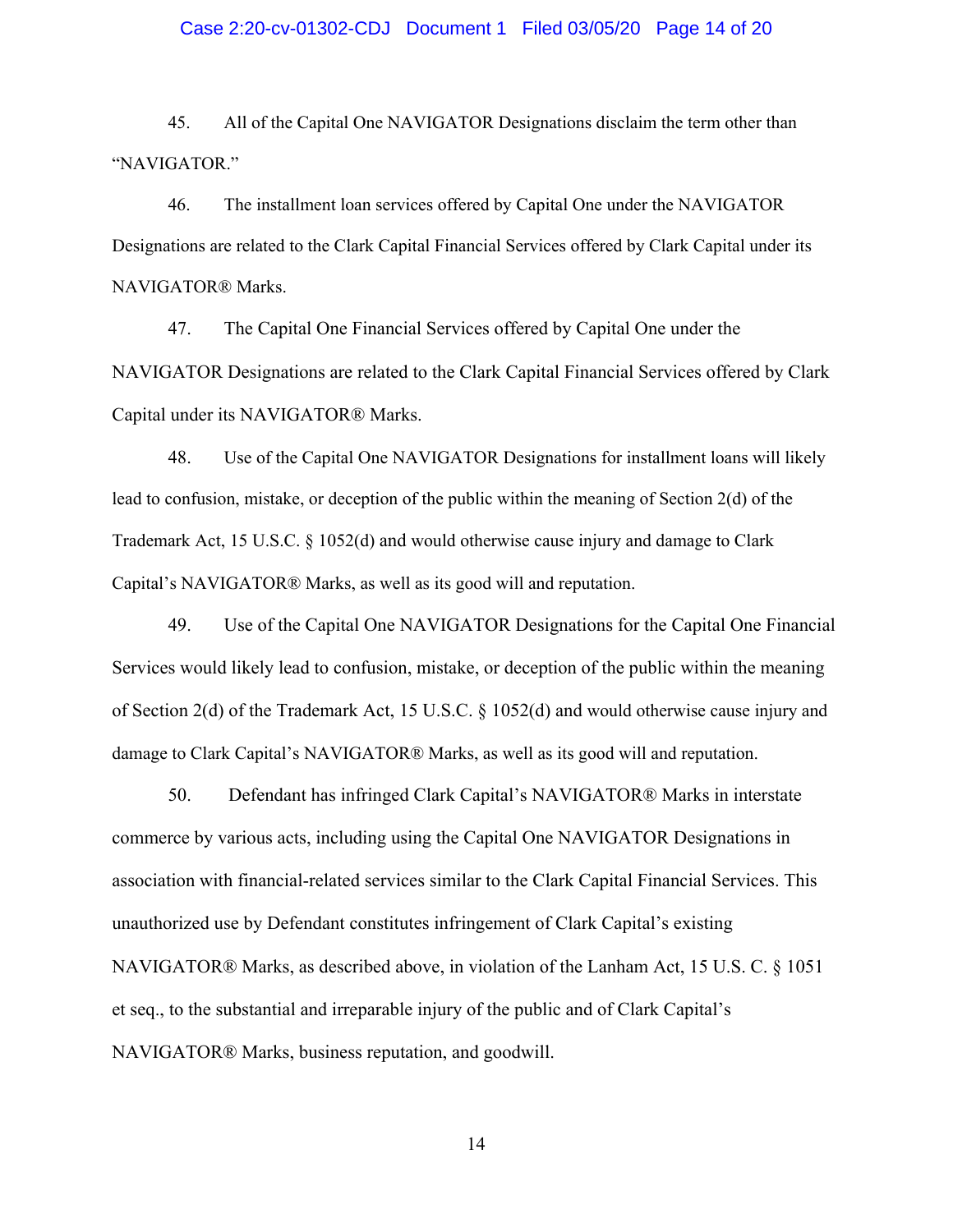#### Case 2:20-cv-01302-CDJ Document 1 Filed 03/05/20 Page 14 of 20

45. All of the Capital One NAVIGATOR Designations disclaim the term other than "NAVIGATOR."

46. The installment loan services offered by Capital One under the NAVIGATOR Designations are related to the Clark Capital Financial Services offered by Clark Capital under its NAVIGATOR® Marks.

47. The Capital One Financial Services offered by Capital One under the NAVIGATOR Designations are related to the Clark Capital Financial Services offered by Clark Capital under its NAVIGATOR® Marks.

48. Use of the Capital One NAVIGATOR Designations for installment loans will likely lead to confusion, mistake, or deception of the public within the meaning of Section 2(d) of the Trademark Act, 15 U.S.C. § 1052(d) and would otherwise cause injury and damage to Clark Capital's NAVIGATOR® Marks, as well as its good will and reputation.

49. Use of the Capital One NAVIGATOR Designations for the Capital One Financial Services would likely lead to confusion, mistake, or deception of the public within the meaning of Section 2(d) of the Trademark Act, 15 U.S.C. § 1052(d) and would otherwise cause injury and damage to Clark Capital's NAVIGATOR® Marks, as well as its good will and reputation.

50. Defendant has infringed Clark Capital's NAVIGATOR® Marks in interstate commerce by various acts, including using the Capital One NAVIGATOR Designations in association with financial-related services similar to the Clark Capital Financial Services. This unauthorized use by Defendant constitutes infringement of Clark Capital's existing NAVIGATOR® Marks, as described above, in violation of the Lanham Act, 15 U.S. C. § 1051 et seq., to the substantial and irreparable injury of the public and of Clark Capital's NAVIGATOR® Marks, business reputation, and goodwill.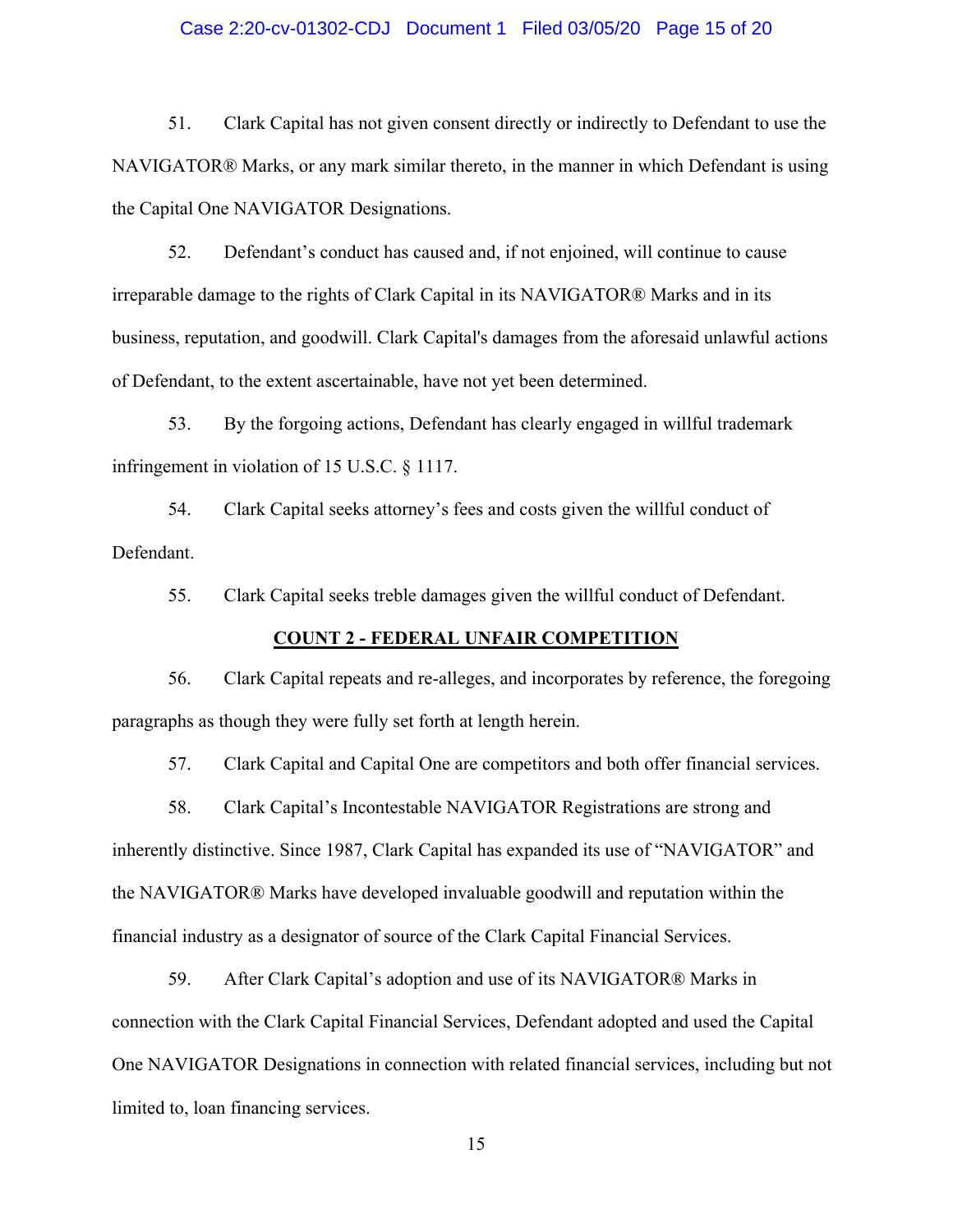#### Case 2:20-cv-01302-CDJ Document 1 Filed 03/05/20 Page 15 of 20

51. Clark Capital has not given consent directly or indirectly to Defendant to use the NAVIGATOR® Marks, or any mark similar thereto, in the manner in which Defendant is using the Capital One NAVIGATOR Designations.

52. Defendant's conduct has caused and, if not enjoined, will continue to cause irreparable damage to the rights of Clark Capital in its NAVIGATOR® Marks and in its business, reputation, and goodwill. Clark Capital's damages from the aforesaid unlawful actions of Defendant, to the extent ascertainable, have not yet been determined.

53. By the forgoing actions, Defendant has clearly engaged in willful trademark infringement in violation of 15 U.S.C. § 1117.

54. Clark Capital seeks attorney's fees and costs given the willful conduct of Defendant.

55. Clark Capital seeks treble damages given the willful conduct of Defendant.

## **COUNT 2 - FEDERAL UNFAIR COMPETITION**

56. Clark Capital repeats and re-alleges, and incorporates by reference, the foregoing paragraphs as though they were fully set forth at length herein.

57. Clark Capital and Capital One are competitors and both offer financial services.

58. Clark Capital's Incontestable NAVIGATOR Registrations are strong and inherently distinctive. Since 1987, Clark Capital has expanded its use of "NAVIGATOR" and the NAVIGATOR® Marks have developed invaluable goodwill and reputation within the financial industry as a designator of source of the Clark Capital Financial Services.

59. After Clark Capital's adoption and use of its NAVIGATOR® Marks in connection with the Clark Capital Financial Services, Defendant adopted and used the Capital One NAVIGATOR Designations in connection with related financial services, including but not limited to, loan financing services.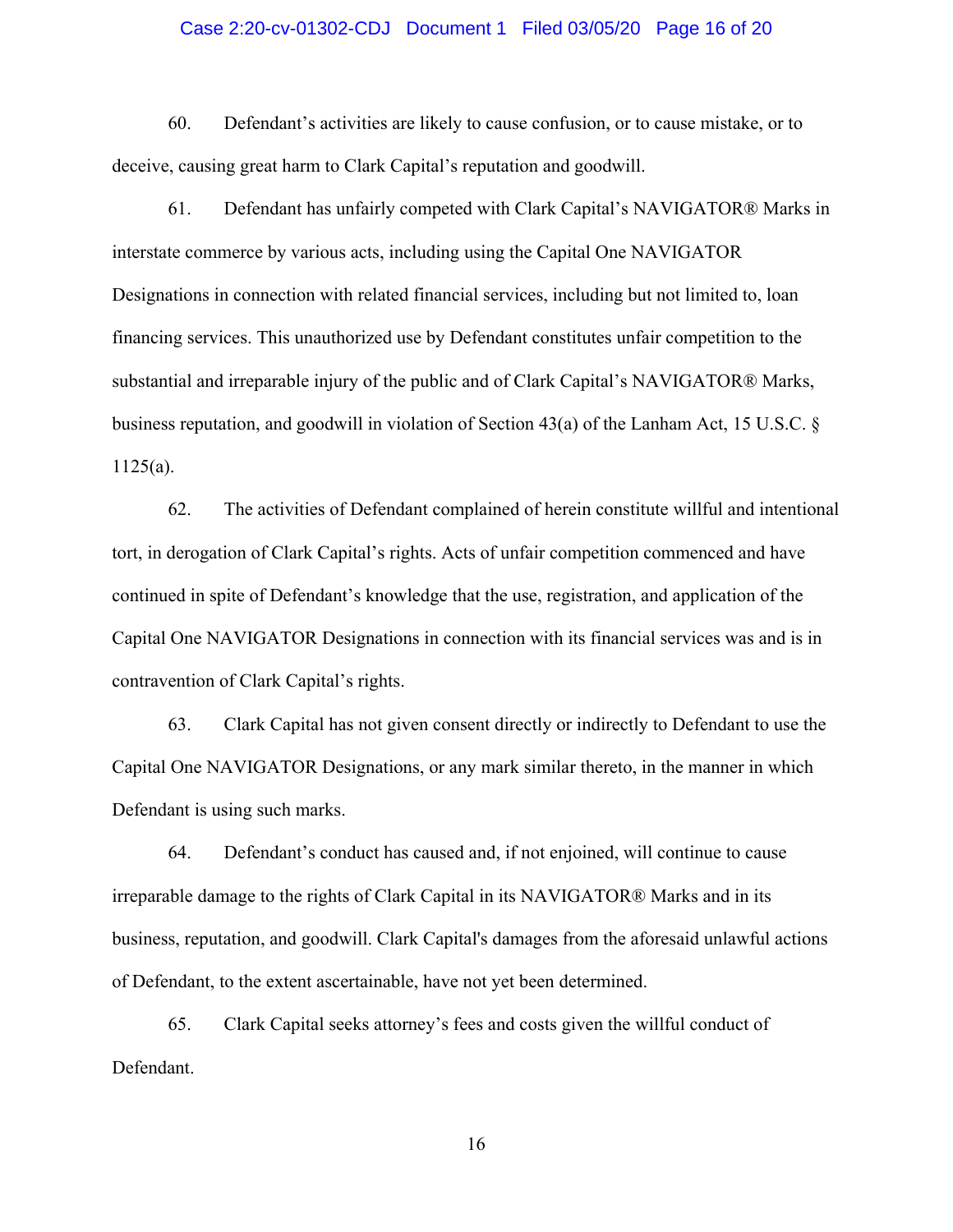#### Case 2:20-cv-01302-CDJ Document 1 Filed 03/05/20 Page 16 of 20

60. Defendant's activities are likely to cause confusion, or to cause mistake, or to deceive, causing great harm to Clark Capital's reputation and goodwill.

61. Defendant has unfairly competed with Clark Capital's NAVIGATOR® Marks in interstate commerce by various acts, including using the Capital One NAVIGATOR Designations in connection with related financial services, including but not limited to, loan financing services. This unauthorized use by Defendant constitutes unfair competition to the substantial and irreparable injury of the public and of Clark Capital's NAVIGATOR® Marks, business reputation, and goodwill in violation of Section 43(a) of the Lanham Act, 15 U.S.C. § 1125(a).

62. The activities of Defendant complained of herein constitute willful and intentional tort, in derogation of Clark Capital's rights. Acts of unfair competition commenced and have continued in spite of Defendant's knowledge that the use, registration, and application of the Capital One NAVIGATOR Designations in connection with its financial services was and is in contravention of Clark Capital's rights.

63. Clark Capital has not given consent directly or indirectly to Defendant to use the Capital One NAVIGATOR Designations, or any mark similar thereto, in the manner in which Defendant is using such marks.

64. Defendant's conduct has caused and, if not enjoined, will continue to cause irreparable damage to the rights of Clark Capital in its NAVIGATOR® Marks and in its business, reputation, and goodwill. Clark Capital's damages from the aforesaid unlawful actions of Defendant, to the extent ascertainable, have not yet been determined.

65. Clark Capital seeks attorney's fees and costs given the willful conduct of Defendant.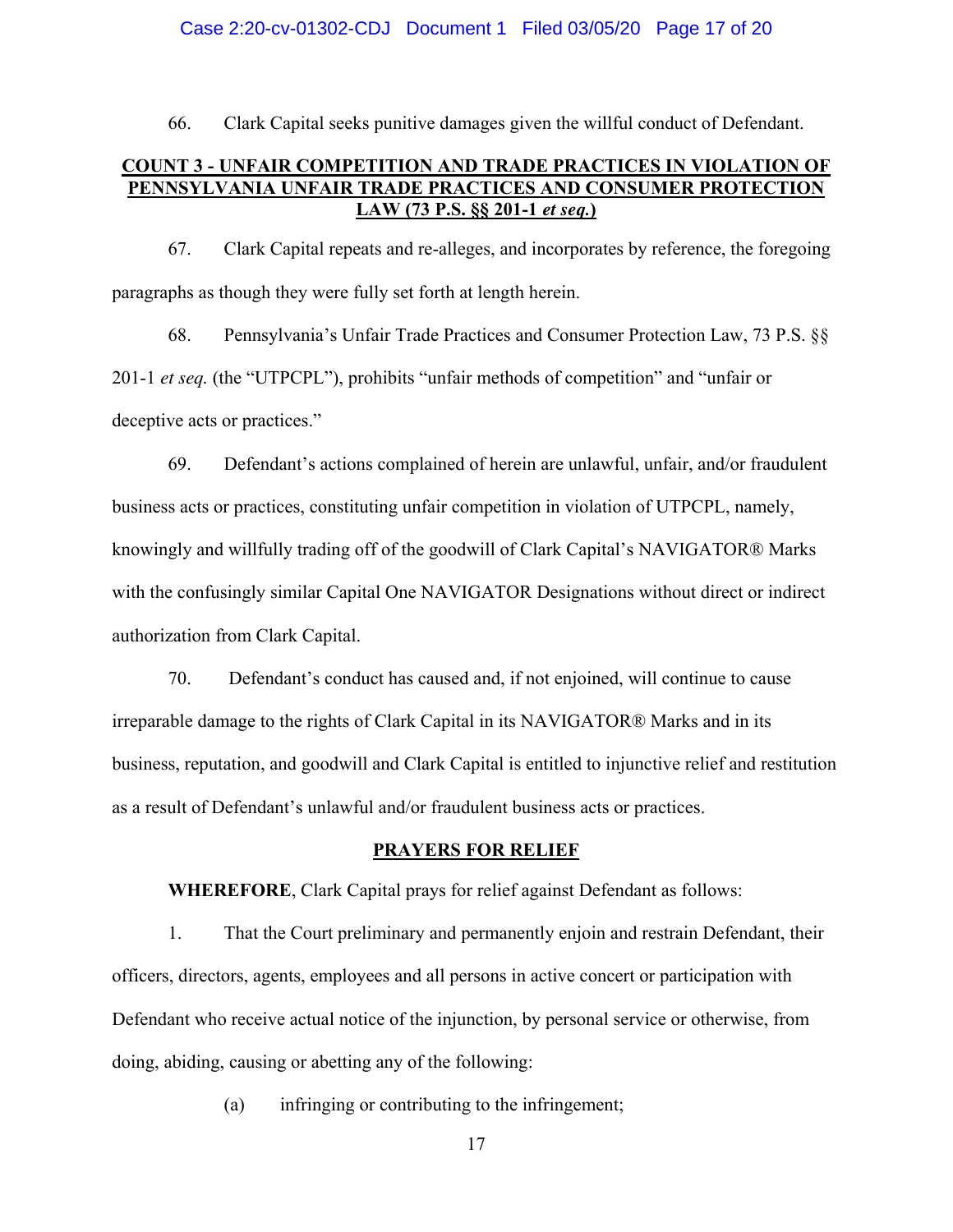#### Case 2:20-cv-01302-CDJ Document 1 Filed 03/05/20 Page 17 of 20

66. Clark Capital seeks punitive damages given the willful conduct of Defendant.

## **COUNT 3 - UNFAIR COMPETITION AND TRADE PRACTICES IN VIOLATION OF PENNSYLVANIA UNFAIR TRADE PRACTICES AND CONSUMER PROTECTION LAW (73 P.S. §§ 201-1** *et seq.***)**

67. Clark Capital repeats and re-alleges, and incorporates by reference, the foregoing paragraphs as though they were fully set forth at length herein.

68. Pennsylvania's Unfair Trade Practices and Consumer Protection Law, 73 P.S. §§ 201-1 *et seq.* (the "UTPCPL"), prohibits "unfair methods of competition" and "unfair or deceptive acts or practices."

69. Defendant's actions complained of herein are unlawful, unfair, and/or fraudulent business acts or practices, constituting unfair competition in violation of UTPCPL, namely, knowingly and willfully trading off of the goodwill of Clark Capital's NAVIGATOR® Marks with the confusingly similar Capital One NAVIGATOR Designations without direct or indirect authorization from Clark Capital.

70. Defendant's conduct has caused and, if not enjoined, will continue to cause irreparable damage to the rights of Clark Capital in its NAVIGATOR® Marks and in its business, reputation, and goodwill and Clark Capital is entitled to injunctive relief and restitution as a result of Defendant's unlawful and/or fraudulent business acts or practices.

## **PRAYERS FOR RELIEF**

**WHEREFORE**, Clark Capital prays for relief against Defendant as follows:

1. That the Court preliminary and permanently enjoin and restrain Defendant, their officers, directors, agents, employees and all persons in active concert or participation with Defendant who receive actual notice of the injunction, by personal service or otherwise, from doing, abiding, causing or abetting any of the following:

(a) infringing or contributing to the infringement;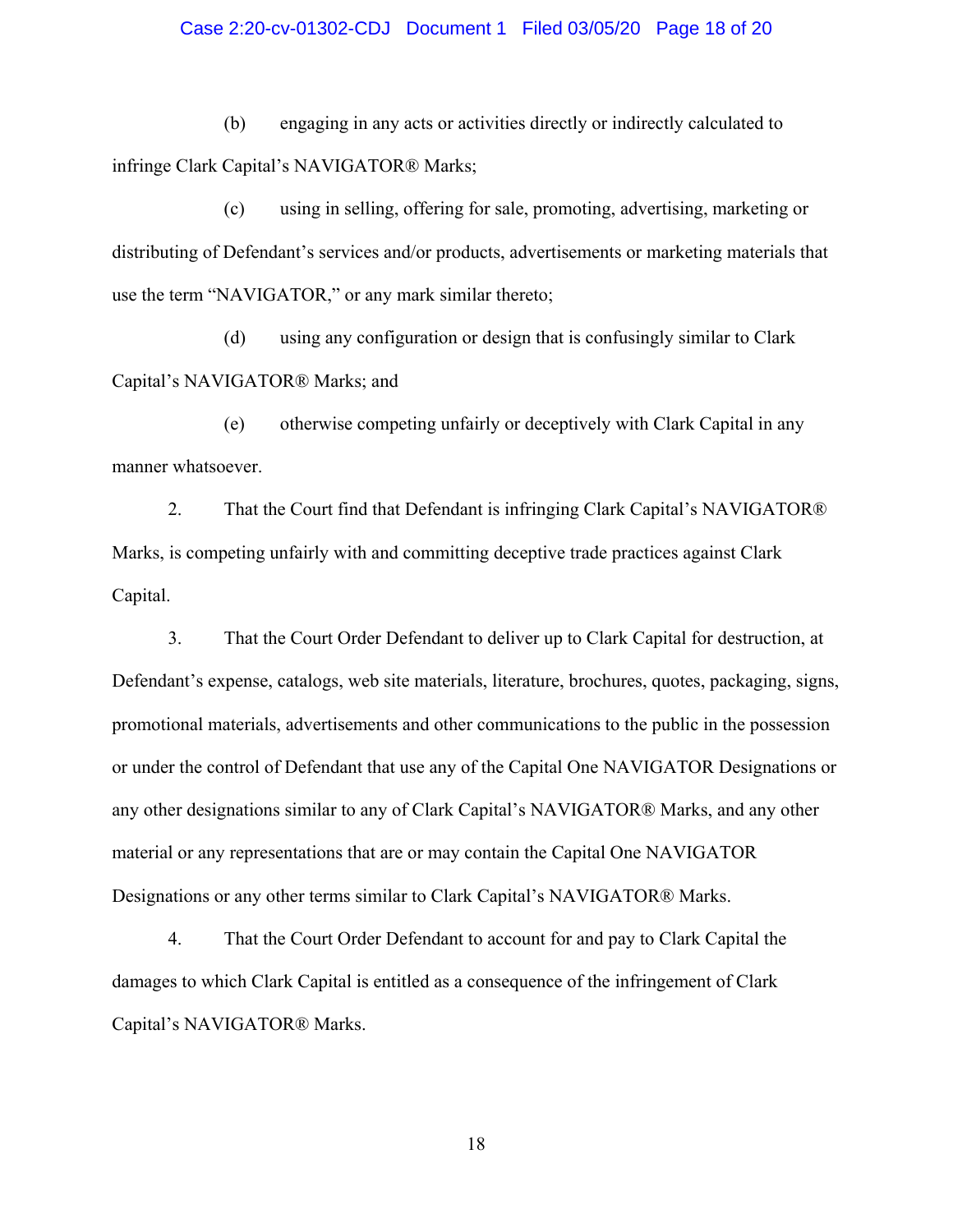#### Case 2:20-cv-01302-CDJ Document 1 Filed 03/05/20 Page 18 of 20

(b) engaging in any acts or activities directly or indirectly calculated to infringe Clark Capital's NAVIGATOR® Marks;

(c) using in selling, offering for sale, promoting, advertising, marketing or distributing of Defendant's services and/or products, advertisements or marketing materials that use the term "NAVIGATOR," or any mark similar thereto;

(d) using any configuration or design that is confusingly similar to Clark Capital's NAVIGATOR® Marks; and

(e) otherwise competing unfairly or deceptively with Clark Capital in any manner whatsoever.

2. That the Court find that Defendant is infringing Clark Capital's NAVIGATOR® Marks, is competing unfairly with and committing deceptive trade practices against Clark Capital.

3. That the Court Order Defendant to deliver up to Clark Capital for destruction, at Defendant's expense, catalogs, web site materials, literature, brochures, quotes, packaging, signs, promotional materials, advertisements and other communications to the public in the possession or under the control of Defendant that use any of the Capital One NAVIGATOR Designations or any other designations similar to any of Clark Capital's NAVIGATOR® Marks, and any other material or any representations that are or may contain the Capital One NAVIGATOR Designations or any other terms similar to Clark Capital's NAVIGATOR® Marks.

4. That the Court Order Defendant to account for and pay to Clark Capital the damages to which Clark Capital is entitled as a consequence of the infringement of Clark Capital's NAVIGATOR® Marks.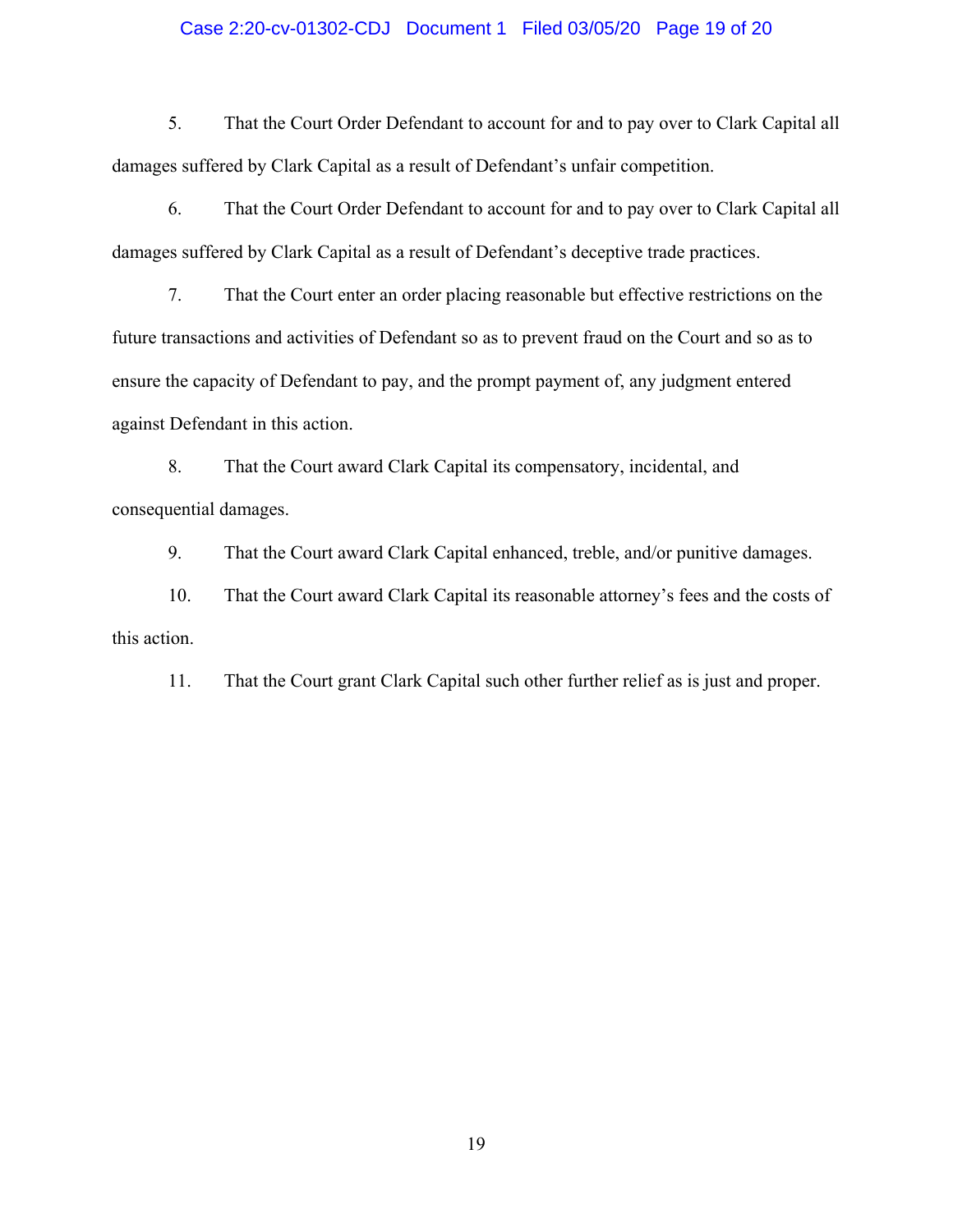#### Case 2:20-cv-01302-CDJ Document 1 Filed 03/05/20 Page 19 of 20

5. That the Court Order Defendant to account for and to pay over to Clark Capital all damages suffered by Clark Capital as a result of Defendant's unfair competition.

6. That the Court Order Defendant to account for and to pay over to Clark Capital all damages suffered by Clark Capital as a result of Defendant's deceptive trade practices.

7. That the Court enter an order placing reasonable but effective restrictions on the future transactions and activities of Defendant so as to prevent fraud on the Court and so as to ensure the capacity of Defendant to pay, and the prompt payment of, any judgment entered against Defendant in this action.

8. That the Court award Clark Capital its compensatory, incidental, and consequential damages.

9. That the Court award Clark Capital enhanced, treble, and/or punitive damages.

10. That the Court award Clark Capital its reasonable attorney's fees and the costs of this action.

11. That the Court grant Clark Capital such other further relief as is just and proper.